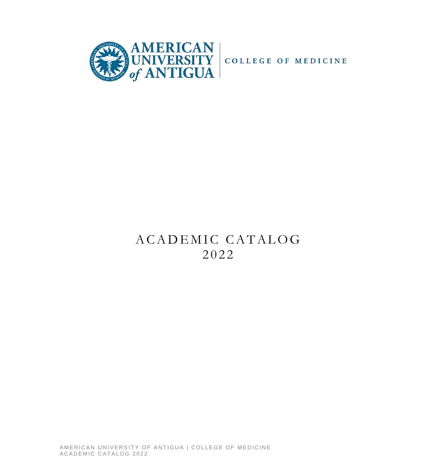

# ACADEMIC CATALOG 202 2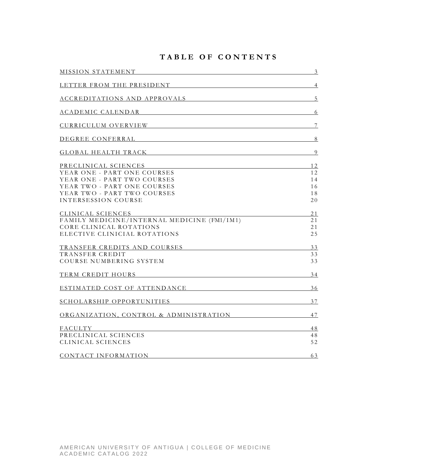# **TABLE OF CONTENTS**

| MISSION STATEMENT NUMBER OF STATE AND RESIDENCE AND RESIDENCE AND RESIDENCE AND RESIDENCE AND RESIDENCE AND RESIDENCE AND RESIDENCE AND RESIDENCE AND RELATIONSHIPS OF A STATE OF A STATE OF A STATE OF A STATE OF A STATE OF  | $\overline{3}$ |
|--------------------------------------------------------------------------------------------------------------------------------------------------------------------------------------------------------------------------------|----------------|
| LETTER FROM THE PRESIDENT THE PRESIDENT                                                                                                                                                                                        | $\overline{4}$ |
| ACCREDITATIONS AND APPROVALS                                                                                                                                                                                                   | $5\phantom{.}$ |
| ACADEMIC CALENDAR NEWSFILM                                                                                                                                                                                                     | 6              |
| CURRICULUM OVERVIEW CURRICULUM OVERVIEW                                                                                                                                                                                        | $\overline{7}$ |
| DEGREE CONFERRAL NE ANNO 1999 ANN ANN AN EAST-ON-DAILY ANN AN EAST-ON-DAILY AND ALL AND THE CONFERRAL                                                                                                                          | 8              |
| GLOBAL HEALTH TRACK SERVICES AND THE SERVICES OF STREET AND THE SERVICES OF STREET AND THE SERVICES OF STREET AND THE SERVICES OF STREET AND THE SERVICES OF STREET AND THE STREET AND THE STREET AND THE STREET AND THE STREE | 9              |
| PRECLINICAL SCIENCES                                                                                                                                                                                                           | 12             |
| YEAR ONE - PART ONE COURSES                                                                                                                                                                                                    | 12             |
| YEAR ONE - PART TWO COURSES                                                                                                                                                                                                    | 14             |
| YEAR TWO - PART ONE COURSES<br>YEAR TWO - PART TWO COURSES                                                                                                                                                                     | 16             |
| <b>INTERSESSION COURSE</b>                                                                                                                                                                                                     | 18<br>20       |
| CLINICAL SCIENCES                                                                                                                                                                                                              | 21             |
| FAMILY MEDICINE/INTERNAL MEDICINE (FM1/IM1)                                                                                                                                                                                    | 21             |
| CORE CLINICAL ROTATIONS                                                                                                                                                                                                        | 21             |
| ELECTIVE CLINICIAL ROTATIONS                                                                                                                                                                                                   | 25             |
| TRANSFER CREDITS AND COURSES MELLET AND TRANSFER CREDITS AND COURSES                                                                                                                                                           | 33             |
| TRANSFER CREDIT                                                                                                                                                                                                                | 33             |
| COURSE NUMBERING SYSTEM                                                                                                                                                                                                        | 33             |
| TERM CREDIT HOURS                                                                                                                                                                                                              | 34             |
| ESTIMATED COST OF ATTENDANCE                                                                                                                                                                                                   | 36             |
| SCHOLARSHIP OPPORTUNITIES                                                                                                                                                                                                      | 37             |
| ORGANIZATION, CONTROL & ADMINISTRATION                                                                                                                                                                                         | 47             |
| FACULTY                                                                                                                                                                                                                        | 48             |
| PRECLINICAL SCIENCES                                                                                                                                                                                                           | 48             |
| CLINICAL SCIENCES                                                                                                                                                                                                              | 52             |
| CONTACT INFORMATION                                                                                                                                                                                                            | 63             |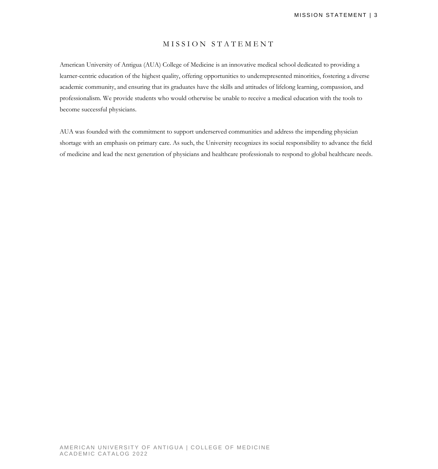### MISSION STATEMENT

American University of Antigua (AUA) College of Medicine is an innovative medical school dedicated to providing a learner-centric education of the highest quality, offering opportunities to underrepresented minorities, fostering a diverse academic community, and ensuring that its graduates have the skills and attitudes of lifelong learning, compassion, and professionalism. We provide students who would otherwise be unable to receive a medical education with the tools to become successful physicians.

AUA was founded with the commitment to support underserved communities and address the impending physician shortage with an emphasis on primary care. As such, the University recognizes its social responsibility to advance the field of medicine and lead the next generation of physicians and healthcare professionals to respond to global healthcare needs.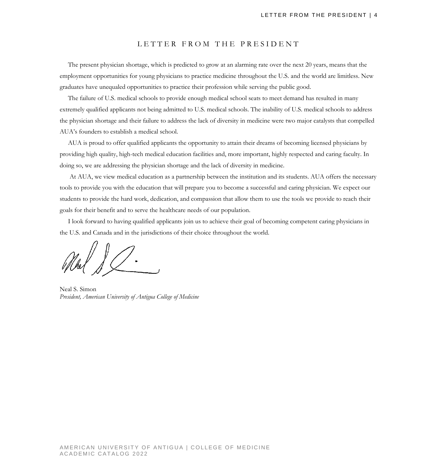#### LETTER FROM THE PRESIDENT

 The present physician shortage, which is predicted to grow at an alarming rate over the next 20 years, means that the employment opportunities for young physicians to practice medicine throughout the U.S. and the world are limitless. New graduates have unequaled opportunities to practice their profession while serving the public good.

 The failure of U.S. medical schools to provide enough medical school seats to meet demand has resulted in many extremely qualified applicants not being admitted to U.S. medical schools. The inability of U.S. medical schools to address the physician shortage and their failure to address the lack of diversity in medicine were two major catalysts that compelled AUA's founders to establish a medical school.

 AUA is proud to offer qualified applicants the opportunity to attain their dreams of becoming licensed physicians by providing high quality, high-tech medical education facilities and, more important, highly respected and caring faculty. In doing so, we are addressing the physician shortage and the lack of diversity in medicine.

 At AUA, we view medical education as a partnership between the institution and its students. AUA offers the necessary tools to provide you with the education that will prepare you to become a successful and caring physician. We expect our students to provide the hard work, dedication, and compassion that allow them to use the tools we provide to reach their goals for their benefit and to serve the healthcare needs of our population.

 I look forward to having qualified applicants join us to achieve their goal of becoming competent caring physicians in the U.S. and Canada and in the jurisdictions of their choice throughout the world.

Neal S. Simon *President, American University of Antigua College of Medicine*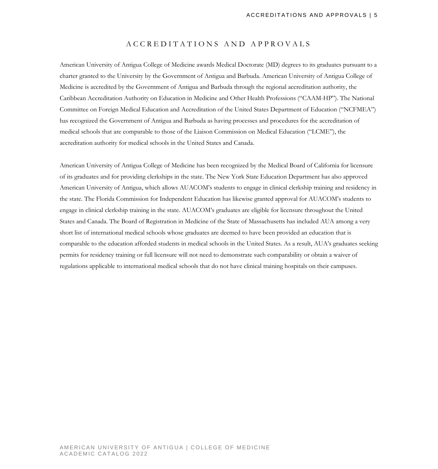#### ACCREDITATIONS AND APPROVALS

American University of Antigua College of Medicine awards Medical Doctorate (MD) degrees to its graduates pursuant to a charter granted to the University by the Government of Antigua and Barbuda. American University of Antigua College of Medicine is accredited by the Government of Antigua and Barbuda through the regional accreditation authority, the Caribbean Accreditation Authority on Education in Medicine and Other Health Professions ("CAAM-HP"). The National Committee on Foreign Medical Education and Accreditation of the United States Department of Education ("NCFMEA") has recognized the Government of Antigua and Barbuda as having processes and procedures for the accreditation of medical schools that are comparable to those of the Liaison Commission on Medical Education ("LCME"), the accreditation authority for medical schools in the United States and Canada.

American University of Antigua College of Medicine has been recognized by the Medical Board of California for licensure of its graduates and for providing clerkships in the state. The New York State Education Department has also approved American University of Antigua, which allows AUACOM's students to engage in clinical clerkship training and residency in the state. The Florida Commission for Independent Education has likewise granted approval for AUACOM's students to engage in clinical clerkship training in the state. AUACOM's graduates are eligible for licensure throughout the United States and Canada. The Board of Registration in Medicine of the State of Massachusetts has included AUA among a very short list of international medical schools whose graduates are deemed to have been provided an education that is comparable to the education afforded students in medical schools in the United States. As a result, AUA's graduates seeking permits for residency training or full licensure will not need to demonstrate such comparability or obtain a waiver of regulations applicable to international medical schools that do not have clinical training hospitals on their campuses.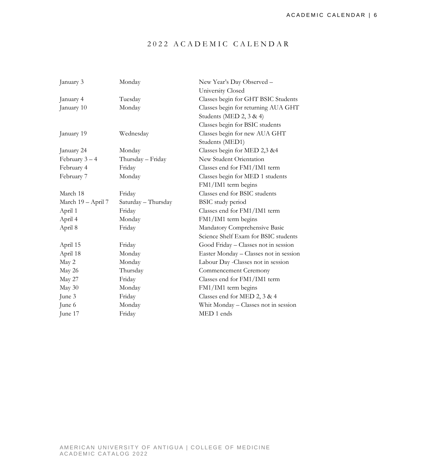# 202 2 ACADEMIC CALE NDAR

| January 3          | Monday              | New Year's Day Observed -              |
|--------------------|---------------------|----------------------------------------|
|                    |                     | University Closed                      |
| January 4          | Tuesday             | Classes begin for GHT BSIC Students    |
| January 10         | Monday              | Classes begin for returning AUA GHT    |
|                    |                     | Students (MED 2, 3 & 4)                |
|                    |                     | Classes begin for BSIC students        |
| January 19         | Wednesday           | Classes begin for new AUA GHT          |
|                    |                     | Students (MED1)                        |
| January 24         | Monday              | Classes begin for MED 2,3 &4           |
| February $3-4$     | Thursday - Friday   | New Student Orientation                |
| February 4         | Friday              | Classes end for FM1/IM1 term           |
| February 7         | Monday              | Classes begin for MED 1 students       |
|                    |                     | FM1/IM1 term begins                    |
| March 18           | Friday              | Classes end for BSIC students          |
| March 19 - April 7 | Saturday - Thursday | <b>BSIC</b> study period               |
| April 1            | Friday              | Classes end for FM1/IM1 term           |
| April 4            | Monday              | FM1/IM1 term begins                    |
| April 8            | Friday              | Mandatory Comprehensive Basic          |
|                    |                     | Science Shelf Exam for BSIC students   |
| April 15           | Friday              | Good Friday - Classes not in session   |
| April 18           | Monday              | Easter Monday – Classes not in session |
| May 2              | Monday              | Labour Day -Classes not in session     |
| May 26             | Thursday            | Commencement Ceremony                  |
| May 27             | Friday              | Classes end for FM1/IM1 term           |
| May 30             | Monday              | FM1/IM1 term begins                    |
| June 3             | Friday              | Classes end for MED 2, 3 & 4           |
| June 6             | Monday              | Whit Monday - Classes not in session   |
| June 17            | Friday              | MED 1 ends                             |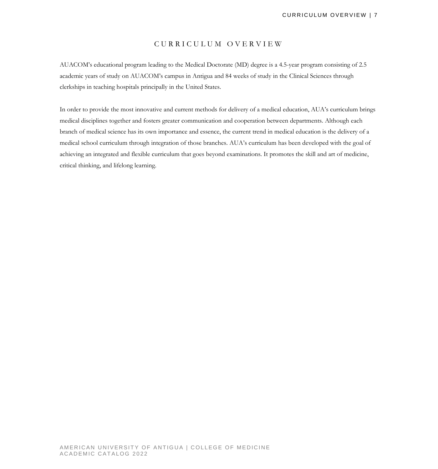### CURRICULUM OVERVIEW

AUACOM's educational program leading to the Medical Doctorate (MD) degree is a 4.5-year program consisting of 2.5 academic years of study on AUACOM's campus in Antigua and 84 weeks of study in the Clinical Sciences through clerkships in teaching hospitals principally in the United States.

In order to provide the most innovative and current methods for delivery of a medical education, AUA's curriculum brings medical disciplines together and fosters greater communication and cooperation between departments. Although each branch of medical science has its own importance and essence, the current trend in medical education is the delivery of a medical school curriculum through integration of those branches. AUA's curriculum has been developed with the goal of achieving an integrated and flexible curriculum that goes beyond examinations. It promotes the skill and art of medicine, critical thinking, and lifelong learning.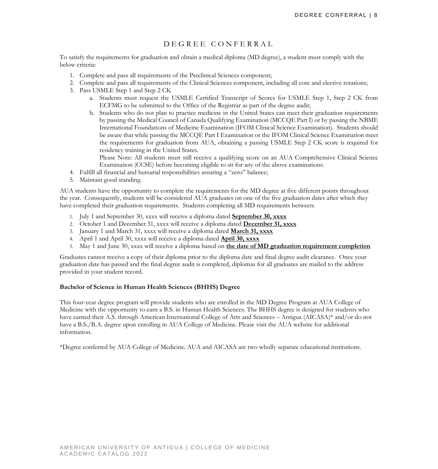# DEGREE CONFERRAL

To satisfy the requirements for graduation and obtain a medical diploma (MD degree), a student must comply with the below criteria:

- 1. Complete and pass all requirements of the Preclinical Sciences component;
- 2. Complete and pass all requirements of the Clinical Sciences component, including all core and elective rotations;
- 3. Pass USMLE Step 1 and Step 2 CK
	- a. Students must request the USMLE Certified Transcript of Scores for USMLE Step 1, Step 2 CK from ECFMG to be submitted to the Office of the Registrar as part of the degree audit;
	- b. Students who do not plan to practice medicine in the United States can meet their graduation requirements by passing the Medical Council of Canada Qualifying Examination (MCCQE Part I) or by passing the NBME International Foundations of Medicine Examination (IFOM Clinical Science Examination). Students should be aware that while passing the MCCQE Part I Examination or the IFOM Clinical Science Examination meet the requirements for graduation from AUA, obtaining a passing USMLE Step 2 CK score is required for residency training in the United States.

Please Note: All students must still receive a qualifying score on an AUA Comprehensive Clinical Science Examination (CCSE) before becoming eligible to sit for any of the above examinations.

- 4. Fulfill all financial and bursarial responsibilities assuring a "zero" balance;
- 5. Maintain good standing.

AUA students have the opportunity to complete the requirements for the MD degree at five different points throughout the year. Consequently, students will be considered AUA graduates on one of the five graduation dates after which they have completed their graduation requirements. Students completing all MD requirements between:

- 1. July 1 and September 30, xxxx will receive a diploma dated **September 30, xxxx**
- 2. October 1 and December 31, xxxx will receive a diploma dated **December 31, xxxx**
- 3. January 1 and March 31, xxxx will receive a diploma dated **March 31, xxxx**
- 4. April 1 and April 30, xxxx will receive a diploma dated **April 30, xxxx**
- 5. May 1 and June 30, xxxx will receive a diploma based on **the date of MD graduation requirement completion**

Graduates cannot receive a copy of their diploma prior to the diploma date and final degree audit clearance. Once your graduation date has passed and the final degree audit is completed, diplomas for all graduates are mailed to the address provided in your student record.

#### **Bachelor of Science in Human Health Sciences (BHHS) Degree**

This four-year degree program will provide students who are enrolled in the MD Degree Program at AUA College of Medicine with the opportunity to earn a B.S. in Human Health Sciences. The BHHS degree is designed for students who have earned their A.S. through American International College of Arts and Sciences – Antigua (AICASA)\* and/or do not have a B.S./B.A. degree upon enrolling in AUA College of Medicine. Please visit the AUA website for additional information.

\*Degree conferred by AUA College of Medicine. AUA and AICASA are two wholly separate educational institutions.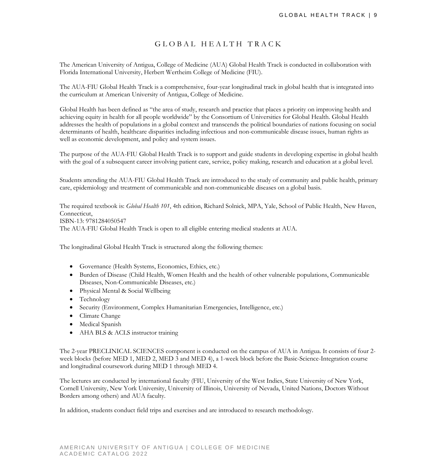# GLOBAL HEALTH TRACK

The American University of Antigua, College of Medicine (AUA) Global Health Track is conducted in collaboration with Florida International University, Herbert Wertheim College of Medicine (FIU).

The AUA-FIU Global Health Track is a comprehensive, four-year longitudinal track in global health that is integrated into the curriculum at American University of Antigua, College of Medicine.

Global Health has been defined as "the area of study, research and practice that places a priority on improving health and achieving equity in health for all people worldwide" by the Consortium of Universities for Global Health. Global Health addresses the health of populations in a global context and transcends the political boundaries of nations focusing on social determinants of health, healthcare disparities including infectious and non-communicable disease issues, human rights as well as economic development, and policy and system issues.

The purpose of the AUA-FIU Global Health Track is to support and guide students in developing expertise in global health with the goal of a subsequent career involving patient care, service, policy making, research and education at a global level.

Students attending the AUA-FIU Global Health Track are introduced to the study of community and public health, primary care, epidemiology and treatment of communicable and non-communicable diseases on a global basis.

The required textbook is: *Global Health 101*, 4th edition, Richard Solnick, MPA, Yale, School of Public Health, New Haven, Connecticut, ISBN-13: 9781284050547 The AUA-FIU Global Health Track is open to all eligible entering medical students at AUA.

The longitudinal Global Health Track is structured along the following themes:

- Governance (Health Systems, Economics, Ethics, etc.)
- Burden of Disease (Child Health, Women Health and the health of other vulnerable populations, Communicable Diseases, Non-Communicable Diseases, etc.)
- Physical Mental & Social Wellbeing
- Technology
- Security (Environment, Complex Humanitarian Emergencies, Intelligence, etc.)
- Climate Change
- Medical Spanish
- AHA BLS & ACLS instructor training

The 2-year PRECLINICAL SCIENCES component is conducted on the campus of AUA in Antigua. It consists of four 2 week blocks (before MED 1, MED 2, MED 3 and MED 4), a 1-week block before the Basic-Science-Integration course and longitudinal coursework during MED 1 through MED 4.

The lectures are conducted by international faculty (FIU, University of the West Indies, State University of New York, Cornell University, New York University, University of Illinois, University of Nevada, United Nations, Doctors Without Borders among others) and AUA faculty.

In addition, students conduct field trips and exercises and are introduced to research methodology.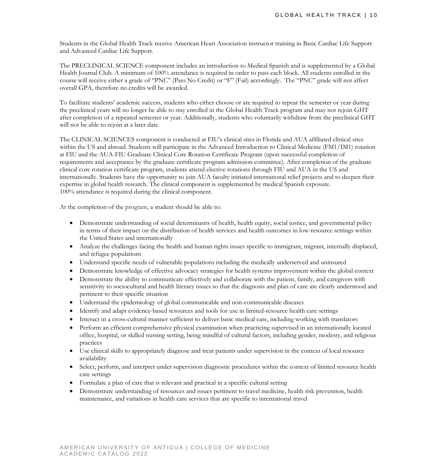Students in the Global Health Track receive American Heart Association instructor training in Basic Cardiac Life Support and Advanced Cardiac Life Support.

The PRECLINICAL SCIENCE component includes an introduction to Medical Spanish and is supplemented by a Global Health Journal Club. A minimum of 100% attendance is required in order to pass each block. All students enrolled in the course will receive either a grade of "PNC" (Pass No Credit) or "F" (Fail) accordingly. The "PNC" grade will not affect overall GPA, therefore no credits will be awarded.

To facilitate students' academic success, students who either choose or are required to repeat the semester or year during the preclinical years will no longer be able to stay enrolled in the Global Health Track program and may not rejoin GHT after completion of a repeated semester or year. Additionally, students who voluntarily withdraw from the preclinical GHT will not be able to rejoin at a later date.

The CLINICAL SCIENCES component is conducted at FIU's clinical sites in Florida and AUA affiliated clinical sites within the US and abroad. Students will participate in the Advanced Introduction to Clinical Medicine (FM1/IM1) rotation at FIU and the AUA-FIU Graduate Clinical Core Rotation Certificate Program (upon successful completion of requirements and acceptance by the graduate certificate program admission committee). After completion of the graduate clinical core rotation certificate program, students attend elective rotations through FIU and AUA in the US and internationally. Students have the opportunity to join AUA faculty initiated international relief projects and to deepen their expertise in global health research. The clinical component is supplemented by medical Spanish exposure. 100% attendance is required during the clinical component.

At the completion of the program, a student should be able to:

- Demonstrate understanding of social determinants of health, health equity, social justice, and governmental policy in terms of their impact on the distribution of health services and health outcomes in low-resource settings within the United States and internationally
- Analyze the challenges facing the health and human rights issues specific to immigrant, migrant, internally displaced, and refugee populations
- Understand specific needs of vulnerable populations including the medically underserved and uninsured
- Demonstrate knowledge of effective advocacy strategies for health systems improvement within the global context
- Demonstrate the ability to communicate effectively and collaborate with the patient, family, and caregivers with sensitivity to sociocultural and health literacy issues so that the diagnosis and plan of care are clearly understood and pertinent to their specific situation
- Understand the epidemiology of global communicable and non-communicable diseases
- Identify and adapt evidence-based resources and tools for use in limited-resource health care settings
- Interact in a cross-cultural manner sufficient to deliver basic medical care, including working with translators
- Perform an efficient comprehensive physical examination when practicing supervised in an internationally located office, hospital, or skilled nursing setting, being mindful of cultural factors, including gender, modesty, and religious practices
- Use clinical skills to appropriately diagnose and treat patients under supervision in the context of local resource availability
- Select, perform, and interpret under supervision diagnostic procedures within the context of limited resource health care settings
- Formulate a plan of care that is relevant and practical in a specific cultural setting
- Demonstrate understanding of resources and issues pertinent to travel medicine, health risk prevention, health maintenance, and variations in health care services that are specific to international travel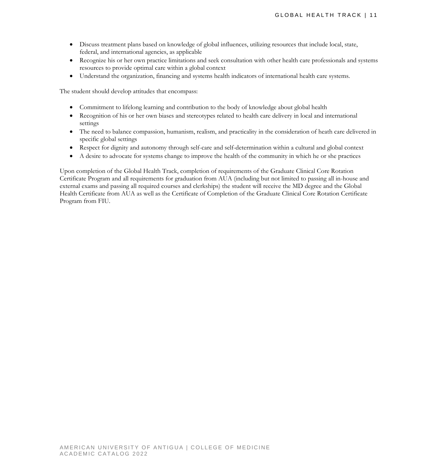- Discuss treatment plans based on knowledge of global influences, utilizing resources that include local, state, federal, and international agencies, as applicable
- Recognize his or her own practice limitations and seek consultation with other health care professionals and systems resources to provide optimal care within a global context
- Understand the organization, financing and systems health indicators of international health care systems.

The student should develop attitudes that encompass:

- Commitment to lifelong learning and contribution to the body of knowledge about global health
- Recognition of his or her own biases and stereotypes related to health care delivery in local and international settings
- The need to balance compassion, humanism, realism, and practicality in the consideration of heath care delivered in specific global settings
- Respect for dignity and autonomy through self-care and self-determination within a cultural and global context
- A desire to advocate for systems change to improve the health of the community in which he or she practices

Upon completion of the Global Health Track, completion of requirements of the Graduate Clinical Core Rotation Certificate Program and all requirements for graduation from AUA (including but not limited to passing all in-house and external exams and passing all required courses and clerkships) the student will receive the MD degree and the Global Health Certificate from AUA as well as the Certificate of Completion of the Graduate Clinical Core Rotation Certificate Program from FIU.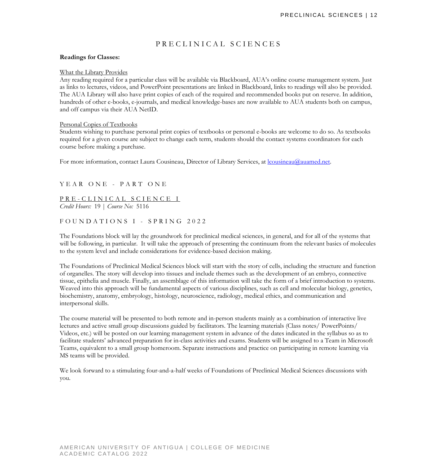# PRECLINICAL SCIENCES

#### **Readings for Classes:**

#### What the Library Provides

Any reading required for a particular class will be available via Blackboard, AUA's online course management system. Just as links to lectures, videos, and PowerPoint presentations are linked in Blackboard, links to readings will also be provided. The AUA Library will also have print copies of each of the required and recommended books put on reserve. In addition, hundreds of other e-books, e-journals, and medical knowledge-bases are now available to AUA students both on campus, and off campus via their AUA NetID.

#### Personal Copies of Textbooks

Students wishing to purchase personal print copies of textbooks or personal e-books are welcome to do so. As textbooks required for a given course are subject to change each term, students should the contact systems coordinators for each course before making a purchase.

For more information, contact Laura Cousineau, Director of Library Services, at [lcousineau@auamed.net.](mailto:lcousineau@auamed.net)

YEAR ONE - PART ONE

PRE-CLINICAL SCIENCE I *Credit Hours:* 19 | *Course No:* 5116

### FOUNDATION S I - SPRING 2022

The Foundations block will lay the groundwork for preclinical medical sciences, in general, and for all of the systems that will be following, in particular. It will take the approach of presenting the continuum from the relevant basics of molecules to the system level and include considerations for evidence-based decision making.

The Foundations of Preclinical Medical Sciences block will start with the story of cells, including the structure and function of organelles. The story will develop into tissues and include themes such as the development of an embryo, connective tissue, epithelia and muscle. Finally, an assemblage of this information will take the form of a brief introduction to systems. Weaved into this approach will be fundamental aspects of various disciplines, such as cell and molecular biology, genetics, biochemistry, anatomy, embryology, histology, neuroscience, radiology, medical ethics, and communication and interpersonal skills.

The course material will be presented to both remote and in-person students mainly as a combination of interactive live lectures and active small group discussions guided by facilitators. The learning materials (Class notes/ PowerPoints/ Videos, etc.) will be posted on our learning management system in advance of the dates indicated in the syllabus so as to facilitate students' advanced preparation for in-class activities and exams. Students will be assigned to a Team in Microsoft Teams, equivalent to a small group homeroom. Separate instructions and practice on participating in remote learning via MS teams will be provided.

We look forward to a stimulating four-and-a-half weeks of Foundations of Preclinical Medical Sciences discussions with you.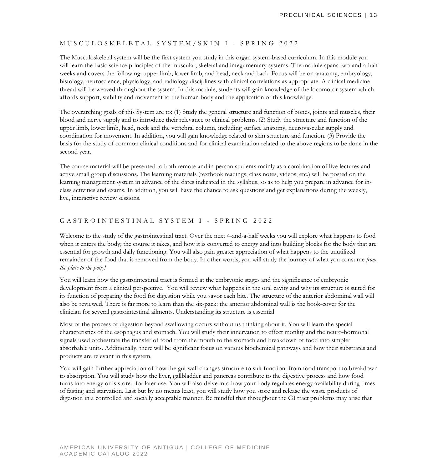#### MUSCULOSKELETAL SYSTEM /SKIN I - SPRING 2022

The Musculoskeletal system will be the first system you study in this organ system-based curriculum. In this module you will learn the basic science principles of the muscular, skeletal and integumentary systems. The module spans two-and-a-half weeks and covers the following: upper limb, lower limb, and head, neck and back. Focus will be on anatomy, embryology, histology, neuroscience, physiology, and radiology disciplines with clinical correlations as appropriate. A clinical medicine thread will be weaved throughout the system. In this module, students will gain knowledge of the locomotor system which affords support, stability and movement to the human body and the application of this knowledge.

The overarching goals of this System are to: (1) Study the general structure and function of bones, joints and muscles, their blood and nerve supply and to introduce their relevance to clinical problems. (2) Study the structure and function of the upper limb, lower limb, head, neck and the vertebral column, including surface anatomy, neurovascular supply and coordination for movement. In addition, you will gain knowledge related to skin structure and function. (3) Provide the basis for the study of common clinical conditions and for clinical examination related to the above regions to be done in the second year.

The course material will be presented to both remote and in-person students mainly as a combination of live lectures and active small group discussions. The learning materials (textbook readings, class notes, videos, etc.) will be posted on the learning management system in advance of the dates indicated in the syllabus, so as to help you prepare in advance for inclass activities and exams. In addition, you will have the chance to ask questions and get explanations during the weekly, live, interactive review sessions.

#### GASTRO INTESTINAL SYSTEM I - SPRING 2022

Welcome to the study of the gastrointestinal tract. Over the next 4-and-a-half weeks you will explore what happens to food when it enters the body; the course it takes, and how it is converted to energy and into building blocks for the body that are essential for growth and daily functioning. You will also gain greater appreciation of what happens to the unutilized remainder of the food that is removed from the body. In other words, you will study the journey of what you consume *from the plate to the potty!* 

You will learn how the gastrointestinal tract is formed at the embryonic stages and the significance of embryonic development from a clinical perspective. You will review what happens in the oral cavity and why its structure is suited for its function of preparing the food for digestion while you savor each bite. The structure of the anterior abdominal wall will also be reviewed. There is far more to learn than the six-pack: the anterior abdominal wall is the book-cover for the clinician for several gastrointestinal ailments. Understanding its structure is essential.

Most of the process of digestion beyond swallowing occurs without us thinking about it. You will learn the special characteristics of the esophagus and stomach. You will study their innervation to effect motility and the neuro-hormonal signals used orchestrate the transfer of food from the mouth to the stomach and breakdown of food into simpler absorbable units. Additionally, there will be significant focus on various biochemical pathways and how their substrates and products are relevant in this system.

You will gain further appreciation of how the gut wall changes structure to suit function: from food transport to breakdown to absorption. You will study how the liver, gallbladder and pancreas contribute to the digestive process and how food turns into energy or is stored for later use. You will also delve into how your body regulates energy availability during times of fasting and starvation. Last but by no means least, you will study how you store and release the waste products of digestion in a controlled and socially acceptable manner. Be mindful that throughout the GI tract problems may arise that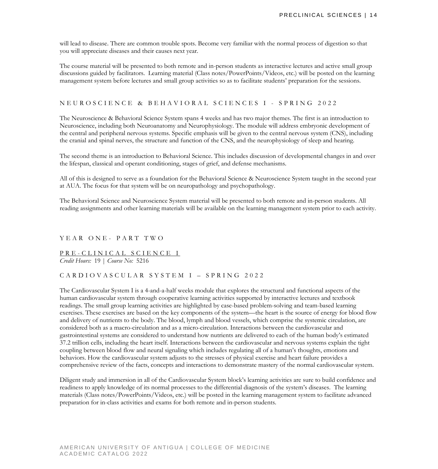will lead to disease. There are common trouble spots. Become very familiar with the normal process of digestion so that you will appreciate diseases and their causes next year.

The course material will be presented to both remote and in-person students as interactive lectures and active small group discussions guided by facilitators. Learning material (Class notes/PowerPoints/Videos, etc.) will be posted on the learning management system before lectures and small group activities so as to facilitate students' preparation for the sessions.

#### NEUROSCIENCE & BEHAVIORAL SCIENCES I - SPRING 2022

The Neuroscience & Behavioral Science System spans 4 weeks and has two major themes. The first is an introduction to Neuroscience, including both Neuroanatomy and Neurophysiology. The module will address embryonic development of the central and peripheral nervous systems. Specific emphasis will be given to the central nervous system (CNS), including the cranial and spinal nerves, the structure and function of the CNS, and the neurophysiology of sleep and hearing.

The second theme is an introduction to Behavioral Science. This includes discussion of developmental changes in and over the lifespan, classical and operant conditioning, stages of grief, and defense mechanisms.

All of this is designed to serve as a foundation for the Behavioral Science & Neuroscience System taught in the second year at AUA. The focus for that system will be on neuropathology and psychopathology.

The Behavioral Science and Neuroscience System material will be presented to both remote and in-person students. All reading assignments and other learning materials will be available on the learning management system prior to each activity.

#### YEAR ONE-PART TWO

PRE - CLINICAL SCIENCE I *Credit Hours:* 19 | *Course No:* 5216

#### CARDIOVASCULAR SYSTEM I – SPRING 2022

The Cardiovascular System I is a 4-and-a-half weeks module that explores the structural and functional aspects of the human cardiovascular system through cooperative learning activities supported by interactive lectures and textbook readings. The small group learning activities are highlighted by case-based problem-solving and team-based learning exercises. These exercises are based on the key components of the system—the heart is the source of energy for blood flow and delivery of nutrients to the body. The blood, lymph and blood vessels, which comprise the systemic circulation, are considered both as a macro-circulation and as a micro-circulation. Interactions between the cardiovascular and gastrointestinal systems are considered to understand how nutrients are delivered to each of the human body's estimated 37.2 trillion cells, including the heart itself. Interactions between the cardiovascular and nervous systems explain the tight coupling between blood flow and neural signaling which includes regulating all of a human's thoughts, emotions and behaviors. How the cardiovascular system adjusts to the stresses of physical exercise and heart failure provides a comprehensive review of the facts, concepts and interactions to demonstrate mastery of the normal cardiovascular system.

Diligent study and immersion in all of the Cardiovascular System block's learning activities are sure to build confidence and readiness to apply knowledge of its normal processes to the differential diagnosis of the system's diseases. The learning materials (Class notes/PowerPoints/Videos, etc.) will be posted in the learning management system to facilitate advanced preparation for in-class activities and exams for both remote and in-person students.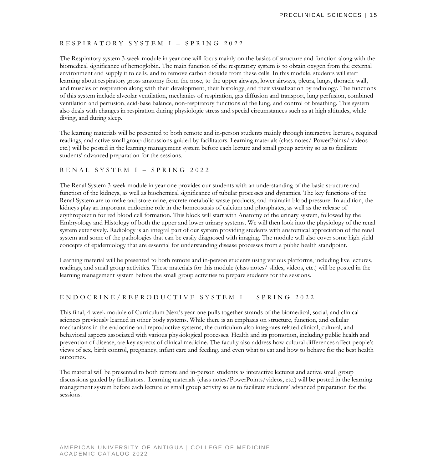#### RESPIRATORY SYSTEM I – SPRING 2022

The Respiratory system 3-week module in year one will focus mainly on the basics of structure and function along with the biomedical significance of hemoglobin. The main function of the respiratory system is to obtain oxygen from the external environment and supply it to cells, and to remove carbon dioxide from these cells. In this module, students will start learning about respiratory gross anatomy from the nose, to the upper airways, lower airways, pleura, lungs, thoracic wall, and muscles of respiration along with their development, their histology, and their visualization by radiology. The functions of this system include alveolar ventilation, mechanics of respiration, gas diffusion and transport, lung perfusion, combined ventilation and perfusion, acid-base balance, non-respiratory functions of the lung, and control of breathing. This system also deals with changes in respiration during physiologic stress and special circumstances such as at high altitudes, while diving, and during sleep.

The learning materials will be presented to both remote and in-person students mainly through interactive lectures, required readings, and active small group discussions guided by facilitators. Learning materials (class notes/ PowerPoints/ videos etc.) will be posted in the learning management system before each lecture and small group activity so as to facilitate students' advanced preparation for the sessions.

#### RENAL SYSTEM I – SPRING 2022

The Renal System 3-week module in year one provides our students with an understanding of the basic structure and function of the kidneys, as well as biochemical significance of tubular processes and dynamics. The key functions of the Renal System are to make and store urine, excrete metabolic waste products, and maintain blood pressure. In addition, the kidneys play an important endocrine role in the homeostasis of calcium and phosphates, as well as the release of erythropoietin for red blood cell formation. This block will start with Anatomy of the urinary system, followed by the Embryology and Histology of both the upper and lower urinary systems. We will then look into the physiology of the renal system extensively. Radiology is an integral part of our system providing students with anatomical appreciation of the renal system and some of the pathologies that can be easily diagnosed with imaging. The module will also cover some high yield concepts of epidemiology that are essential for understanding disease processes from a public health standpoint.

Learning material will be presented to both remote and in-person students using various platforms, including live lectures, readings, and small group activities. These materials for this module (class notes/ slides, videos, etc.) will be posted in the learning management system before the small group activities to prepare students for the sessions.

#### ENDOCRINE/REPRODUCTIVE SYSTEM I – SPRING 2022

This final, 4-week module of Curriculum Next's year one pulls together strands of the biomedical, social, and clinical sciences previously learned in other body systems. While there is an emphasis on structure, function, and cellular mechanisms in the endocrine and reproductive systems, the curriculum also integrates related clinical, cultural, and behavioral aspects associated with various physiological processes. Health and its promotion, including public health and prevention of disease, are key aspects of clinical medicine. The faculty also address how cultural differences affect people's views of sex, birth control, pregnancy, infant care and feeding, and even what to eat and how to behave for the best health outcomes.

The material will be presented to both remote and in-person students as interactive lectures and active small group discussions guided by facilitators. Learning materials (class notes/PowerPoints/videos, etc.) will be posted in the learning management system before each lecture or small group activity so as to facilitate students' advanced preparation for the sessions.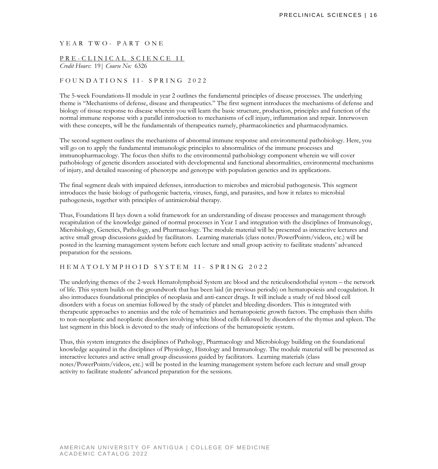YEAR TWO-PART ONE

# PRE-CLINICAL SCIENCE II

*Credit Hours:* 19| *Course No:* 6326

#### FOUNDATIONS II - SPRING 2022

The 5-week Foundations-II module in year 2 outlines the fundamental principles of disease processes. The underlying theme is "Mechanisms of defense, disease and therapeutics." The first segment introduces the mechanisms of defense and biology of tissue response to disease wherein you will learn the basic structure, production, principles and function of the normal immune response with a parallel introduction to mechanisms of cell injury, inflammation and repair. Interwoven with these concepts, will be the fundamentals of therapeutics namely, pharmacokinetics and pharmacodynamics.

The second segment outlines the mechanisms of abnormal immune response and environmental pathobiology. Here, you will go on to apply the fundamental immunologic principles to abnormalities of the immune processes and immunopharmacology. The focus then shifts to the environmental pathobiology component wherein we will cover pathobiology of genetic disorders associated with developmental and functional abnormalities, environmental mechanisms of injury, and detailed reasoning of phenotype and genotype with population genetics and its applications.

The final segment deals with impaired defenses, introduction to microbes and microbial pathogenesis. This segment introduces the basic biology of pathogenic bacteria, viruses, fungi, and parasites, and how it relates to microbial pathogenesis, together with principles of antimicrobial therapy.

Thus, Foundations II lays down a solid framework for an understanding of disease processes and management through recapitulation of the knowledge gained of normal processes in Year 1 and integration with the disciplines of Immunology, Microbiology, Genetics, Pathology, and Pharmacology. The module material will be presented as interactive lectures and active small group discussions guided by facilitators. Learning materials (class notes/PowerPoints/videos, etc.) will be posted in the learning management system before each lecture and small group activity to facilitate students' advanced preparation for the sessions.

#### HEMATOLYMPHOID SYSTEM II- SPRING 2022

The underlying themes of the 2-week Hematolymphoid System are blood and the reticuloendothelial system – the network of life. This system builds on the groundwork that has been laid (in previous periods) on hematopoiesis and coagulation. It also introduces foundational principles of neoplasia and anti-cancer drugs. It will include a study of red blood cell disorders with a focus on anemias followed by the study of platelet and bleeding disorders. This is integrated with therapeutic approaches to anemias and the role of hematinics and hematopoietic growth factors. The emphasis then shifts to non-neoplastic and neoplastic disorders involving white blood cells followed by disorders of the thymus and spleen. The last segment in this block is devoted to the study of infections of the hematopoietic system.

Thus, this system integrates the disciplines of Pathology, Pharmacology and Microbiology building on the foundational knowledge acquired in the disciplines of Physiology, Histology and Immunology. The module material will be presented as interactive lectures and active small group discussions guided by facilitators. Learning materials (class notes/PowerPoints/videos, etc.) will be posted in the learning management system before each lecture and small group activity to facilitate students' advanced preparation for the sessions.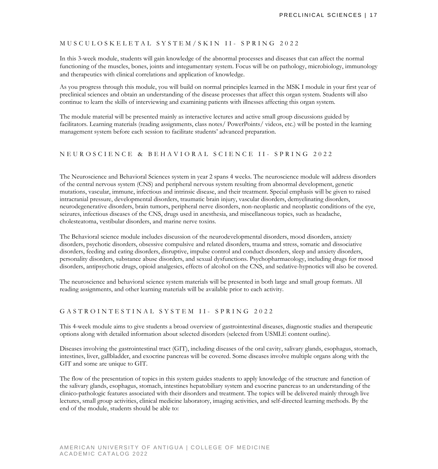#### MUSCULOSKELETAL SYSTEM/SKIN II - SPRING 2022

In this 3-week module, students will gain knowledge of the abnormal processes and diseases that can affect the normal functioning of the muscles, bones, joints and integumentary system. Focus will be on pathology, microbiology, immunology and therapeutics with clinical correlations and application of knowledge.

As you progress through this module, you will build on normal principles learned in the MSK I module in your first year of preclinical sciences and obtain an understanding of the disease processes that affect this organ system. Students will also continue to learn the skills of interviewing and examining patients with illnesses affecting this organ system.

The module material will be presented mainly as interactive lectures and active small group discussions guided by facilitators. Learning materials (reading assignments, class notes/ PowerPoints/ videos, etc.) will be posted in the learning management system before each session to facilitate students' advanced preparation.

#### NEUROSCIENCE & BEHAVIORAL SCIENCE II - SPRING 2022

The Neuroscience and Behavioral Sciences system in year 2 spans 4 weeks. The neuroscience module will address disorders of the central nervous system (CNS) and peripheral nervous system resulting from abnormal development, genetic mutations, vascular, immune, infectious and intrinsic disease, and their treatment. Special emphasis will be given to raised intracranial pressure, developmental disorders, traumatic brain injury, vascular disorders, demyelinating disorders, neurodegenerative disorders, brain tumors, peripheral nerve disorders, non-neoplastic and neoplastic conditions of the eye, seizures, infectious diseases of the CNS, drugs used in anesthesia, and miscellaneous topics, such as headache, cholesteatoma, vestibular disorders, and marine nerve toxins.

The Behavioral science module includes discussion of the neurodevelopmental disorders, mood disorders, anxiety disorders, psychotic disorders, obsessive compulsive and related disorders, trauma and stress, somatic and dissociative disorders, feeding and eating disorders, disruptive, impulse control and conduct disorders, sleep and anxiety disorders, personality disorders, substance abuse disorders, and sexual dysfunctions. Psychopharmacology, including drugs for mood disorders, antipsychotic drugs, opioid analgesics, effects of alcohol on the CNS, and sedative-hypnotics will also be covered.

The neuroscience and behavioral science system materials will be presented in both large and small group formats. All reading assignments, and other learning materials will be available prior to each activity.

#### GASTROINTESTINAL SYSTEM II - SPRING 2022

This 4-week module aims to give students a broad overview of gastrointestinal diseases, diagnostic studies and therapeutic options along with detailed information about selected disorders (selected from USMLE content outline).

Diseases involving the gastrointestinal tract (GIT), including diseases of the oral cavity, salivary glands, esophagus, stomach, intestines, liver, gallbladder, and exocrine pancreas will be covered. Some diseases involve multiple organs along with the GIT and some are unique to GIT.

The flow of the presentation of topics in this system guides students to apply knowledge of the structure and function of the salivary glands, esophagus, stomach, intestines hepatobiliary system and exocrine pancreas to an understanding of the clinico-pathologic features associated with their disorders and treatment. The topics will be delivered mainly through live lectures, small group activities, clinical medicine laboratory, imaging activities, and self-directed learning methods. By the end of the module, students should be able to: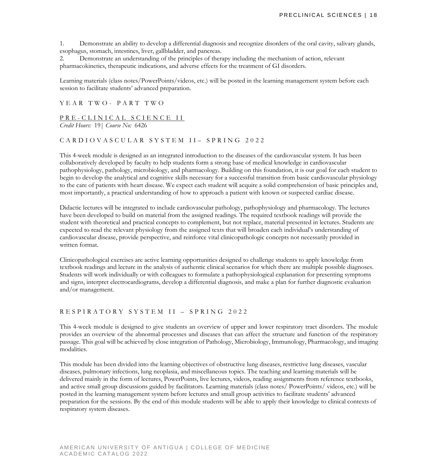1. Demonstrate an ability to develop a differential diagnosis and recognize disorders of the oral cavity, salivary glands, esophagus, stomach, intestines, liver, gallbladder, and pancreas.

2. Demonstrate an understanding of the principles of therapy including the mechanism of action, relevant pharmacokinetics, therapeutic indications, and adverse effects for the treatment of GI disorders.

Learning materials (class notes/PowerPoints/videos, etc.) will be posted in the learning management system before each session to facilitate students' advanced preparation.

#### YEAR TWO - PART TWO

#### PRE-CLINICAL SCIENCE II *Credit Hours:* 19| *Course No:* 6426

#### CARDIOVASCULAR SYSTEM II- SPRING 2022

This 4-week module is designed as an integrated introduction to the diseases of the cardiovascular system. It has been collaboratively developed by faculty to help students form a strong base of medical knowledge in cardiovascular pathophysiology, pathology, microbiology, and pharmacology. Building on this foundation, it is our goal for each student to begin to develop the analytical and cognitive skills necessary for a successful transition from basic cardiovascular physiology to the care of patients with heart disease. We expect each student will acquire a solid comprehension of basic principles and, most importantly, a practical understanding of how to approach a patient with known or suspected cardiac disease.

Didactic lectures will be integrated to include cardiovascular pathology, pathophysiology and pharmacology. The lectures have been developed to build on material from the assigned readings. The required textbook readings will provide the student with theoretical and practical concepts to complement, but not replace, material presented in lectures. Students are expected to read the relevant physiology from the assigned texts that will broaden each individual's understanding of cardiovascular disease, provide perspective, and reinforce vital clinicopathologic concepts not necessarily provided in written format.

Clinicopathological exercises are active learning opportunities designed to challenge students to apply knowledge from textbook readings and lecture in the analysis of authentic clinical scenarios for which there are multiple possible diagnoses. Students will work individually or with colleagues to formulate a pathophysiological explanation for presenting symptoms and signs, interpret electrocardiograms, develop a differential diagnosis, and make a plan for further diagnostic evaluation and/or management.

#### RESPIRATORY SYSTEM II – SPRING 202 2

This 4-week module is designed to give students an overview of upper and lower respiratory tract disorders. The module provides an overview of the abnormal processes and diseases that can affect the structure and function of the respiratory passage. This goal will be achieved by close integration of Pathology, Microbiology, Immunology, Pharmacology, and imaging modalities.

This module has been divided into the learning objectives of obstructive lung diseases, restrictive lung diseases, vascular diseases, pulmonary infections, lung neoplasia, and miscellaneous topics. The teaching and learning materials will be delivered mainly in the form of lectures, PowerPoints, live lectures, videos, reading assignments from reference textbooks, and active small group discussions guided by facilitators. Learning materials (class notes/ PowerPoints/ videos, etc.) will be posted in the learning management system before lectures and small group activities to facilitate students' advanced preparation for the sessions. By the end of this module students will be able to apply their knowledge to clinical contexts of respiratory system diseases.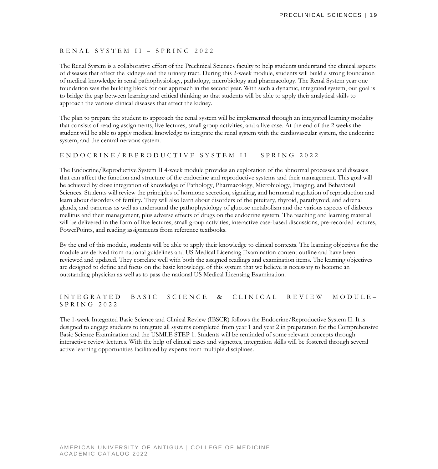#### RENAL SYSTEM II – SPRING 2022

The Renal System is a collaborative effort of the Preclinical Sciences faculty to help students understand the clinical aspects of diseases that affect the kidneys and the urinary tract. During this 2-week module, students will build a strong foundation of medical knowledge in renal pathophysiology, pathology, microbiology and pharmacology. The Renal System year one foundation was the building block for our approach in the second year. With such a dynamic, integrated system, our goal is to bridge the gap between learning and critical thinking so that students will be able to apply their analytical skills to approach the various clinical diseases that affect the kidney.

The plan to prepare the student to approach the renal system will be implemented through an integrated learning modality that consists of reading assignments, live lectures, small group activities, and a live case. At the end of the 2 weeks the student will be able to apply medical knowledge to integrate the renal system with the cardiovascular system, the endocrine system, and the central nervous system.

#### ENDOCRINE/REPRODUCTIVE SYSTEM II – SPRING 2022

The Endocrine/Reproductive System II 4-week module provides an exploration of the abnormal processes and diseases that can affect the function and structure of the endocrine and reproductive systems and their management. This goal will be achieved by close integration of knowledge of Pathology, Pharmacology, Microbiology, Imaging, and Behavioral Sciences. Students will review the principles of hormone secretion, signaling, and hormonal regulation of reproduction and learn about disorders of fertility. They will also learn about disorders of the pituitary, thyroid, parathyroid, and adrenal glands, and pancreas as well as understand the pathophysiology of glucose metabolism and the various aspects of diabetes mellitus and their management, plus adverse effects of drugs on the endocrine system. The teaching and learning material will be delivered in the form of live lectures, small group activities, interactive case-based discussions, pre-recorded lectures, PowerPoints, and reading assignments from reference textbooks.

By the end of this module, students will be able to apply their knowledge to clinical contexts. The learning objectives for the module are derived from national guidelines and US Medical Licensing Examination content outline and have been reviewed and updated. They correlate well with both the assigned readings and examination items. The learning objectives are designed to define and focus on the basic knowledge of this system that we believe is necessary to become an outstanding physician as well as to pass the national US Medical Licensing Examination.

#### INTEGRATED BASIC SCIENCE & CLINICAL REVIEW MODULE – SPRING 2022

The 1-week Integrated Basic Science and Clinical Review (IBSCR) follows the Endocrine/Reproductive System II. It is designed to engage students to integrate all systems completed from year 1 and year 2 in preparation for the Comprehensive Basic Science Examination and the USMLE STEP 1. Students will be reminded of some relevant concepts through interactive review lectures. With the help of clinical cases and vignettes, integration skills will be fostered through several active learning opportunities facilitated by experts from multiple disciplines.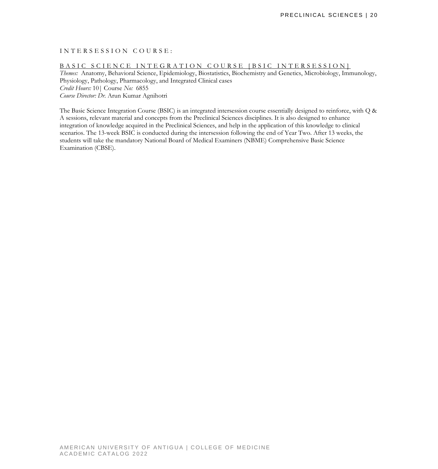#### INTERSESSION COURSE :

#### BASIC SCIENCE INTEGRATION COURSE [BSIC INTERSESSION]

*Themes:* Anatomy, Behavioral Science, Epidemiology, Biostatistics, Biochemistry and Genetics, Microbiology, Immunology, Physiology, Pathology, Pharmacology, and Integrated Clinical cases *Credit Hours:* 10| Course *No:* 6855 *Course Director: Dr.* Arun Kumar Agnihotri

The Basic Science Integration Course (BSIC) is an integrated intersession course essentially designed to reinforce, with Q & A sessions, relevant material and concepts from the Preclinical Sciences disciplines. It is also designed to enhance integration of knowledge acquired in the Preclinical Sciences, and help in the application of this knowledge to clinical scenarios. The 13-week BSIC is conducted during the intersession following the end of Year Two. After 13 weeks, the students will take the mandatory National Board of Medical Examiners (NBME) Comprehensive Basic Science Examination (CBSE).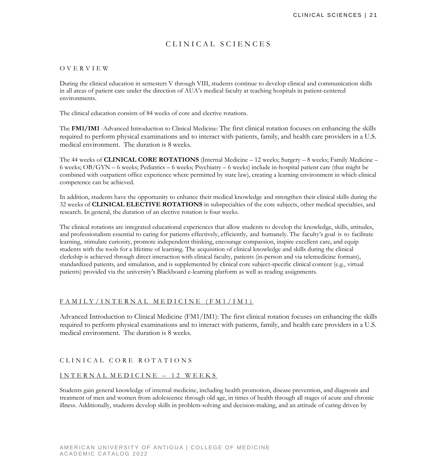# CLINICAL SCIENCES

#### OVERVIEW

During the clinical education in semesters V through VIII, students continue to develop clinical and communication skills in all areas of patient care under the direction of AUA's medical faculty at teaching hospitals in patient-centered environments.

The clinical education consists of 84 weeks of core and elective rotations.

The **FM1/IM1** -Advanced Introduction to Clinical Medicine: The first clinical rotation focuses on enhancing the skills required to perform physical examinations and to interact with patients, family, and health care providers in a U.S. medical environment. The duration is 8 weeks.

The 44 weeks of **CLINICAL CORE ROTATIONS** (Internal Medicine – 12 weeks; Surgery – 8 weeks; Family Medicine – 6 weeks; OB/GYN – 6 weeks; Pediatrics – 6 weeks; Psychiatry – 6 weeks) include in-hospital patient care (that might be combined with outpatient office experience where permitted by state law), creating a learning environment in which clinical competence can be achieved.

In addition, students have the opportunity to enhance their medical knowledge and strengthen their clinical skills during the 32 weeks of **CLINICAL ELECTIVE ROTATIONS** in subspecialties of the core subjects, other medical specialties, and research. In general, the duration of an elective rotation is four weeks.

The clinical rotations are integrated educational experiences that allow students to develop the knowledge, skills, attitudes, and professionalism essential to caring for patients effectively, efficiently, and humanely. The faculty's goal is to facilitate learning, stimulate curiosity, promote independent thinking, encourage compassion, inspire excellent care, and equip students with the tools for a lifetime of learning. The acquisition of clinical knowledge and skills during the clinical clerkship is achieved through direct interaction with clinical faculty, patients (in-person and via telemedicine formats), standardized patients, and simulation, and is supplemented by clinical core subject-specific clinical content (e.g., virtual patients) provided via the university's Blackboard e-learning platform as well as reading assignments.

#### FAMILY/INTERNAL MEDICINE (FM1/IM1)

Advanced Introduction to Clinical Medicine (FM1/IM1): The first clinical rotation focuses on enhancing the skills required to perform physical examinations and to interact with patients, family, and health care providers in a U.S. medical environment. The duration is 8 weeks.

#### CLINICAL CORE ROTATIONS

#### INT ERNAL MEDICINE – 12 WEEKS

Students gain general knowledge of internal medicine, including health promotion, disease prevention, and diagnosis and treatment of men and women from adolescence through old age, in times of health through all stages of acute and chronic illness. Additionally, students develop skills in problem-solving and decision-making, and an attitude of caring driven by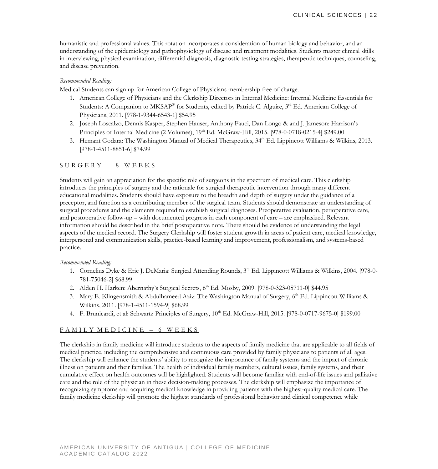humanistic and professional values. This rotation incorporates a consideration of human biology and behavior, and an understanding of the epidemiology and pathophysiology of disease and treatment modalities. Students master clinical skills in interviewing, physical examination, differential diagnosis, diagnostic testing strategies, therapeutic techniques, counseling, and disease prevention.

#### *Recommended Reading:*

Medical Students can sign up for American College of Physicians membership free of charge.

- 1. American College of Physicians and the Clerkship Directors in Internal Medicine: Internal Medicine Essentials for Students: A Companion to MKSAP® for Students, edited by Patrick C. Alguire, 3<sup>rd</sup> Ed. American College of Physicians, 2011. [978-1-9344-6543-1] \$54.95
- 2. Joseph Loscalzo, Dennis Kasper, Stephen Hauser, Anthony Fauci, Dan Longo & and J. Jameson: Harrison's Principles of Internal Medicine (2 Volumes),  $19<sup>th</sup>$  Ed. McGraw-Hill, 2015. [978-0-0718-0215-4] \$249.00
- 3. Hemant Godara: The Washington Manual of Medical Therapeutics, 34<sup>th</sup> Ed. Lippincott Williams & Wilkins, 2013. [978-1-4511-8851-6] \$74.99

#### SURGERY – 8 WEEKS

Students will gain an appreciation for the specific role of surgeons in the spectrum of medical care. This clerkship introduces the principles of surgery and the rationale for surgical therapeutic intervention through many different educational modalities. Students should have exposure to the breadth and depth of surgery under the guidance of a preceptor, and function as a contributing member of the surgical team. Students should demonstrate an understanding of surgical procedures and the elements required to establish surgical diagnoses. Preoperative evaluation, perioperative care, and postoperative follow-up – with documented progress in each component of care – are emphasized. Relevant information should be described in the brief postoperative note. There should be evidence of understanding the legal aspects of the medical record. The Surgery Clerkship will foster student growth in areas of patient care, medical knowledge, interpersonal and communication skills, practice-based learning and improvement, professionalism, and systems-based practice.

#### *Recommended Reading:*

- 1. Cornelius Dyke & Eric J. DeMaria: Surgical Attending Rounds, 3rd Ed. Lippincott Williams & Wilkins, 2004. [978-0- 781-75046-2] \$68.99
- 2. Alden H. Harken: Abernathy's Surgical Secrets, 6<sup>th</sup> Ed. Mosby, 2009. [978-0-323-05711-0] \$44.95
- 3. Mary E. Klingensmith & Abdulhameed Aziz: The Washington Manual of Surgery, 6<sup>th</sup> Ed. Lippincott Williams & Wilkins, 2011. [978-1-4511-1594-9] \$68.99
- 4. F. Brunicardi, et al: Schwartz Principles of Surgery,  $10^{th}$  Ed. McGraw-Hill, 2015. [978-0-0717-9675-0] \$199.00

#### FAMILY MEDICINE – 6 WEEKS

The clerkship in family medicine will introduce students to the aspects of family medicine that are applicable to all fields of medical practice, including the comprehensive and continuous care provided by family physicians to patients of all ages. The clerkship will enhance the students' ability to recognize the importance of family systems and the impact of chronic illness on patients and their families. The health of individual family members, cultural issues, family systems, and their cumulative effect on health outcomes will be highlighted. Students will become familiar with end-of-life issues and palliative care and the role of the physician in these decision-making processes. The clerkship will emphasize the importance of recognizing symptoms and acquiring medical knowledge in providing patients with the highest-quality medical care. The family medicine clerkship will promote the highest standards of professional behavior and clinical competence while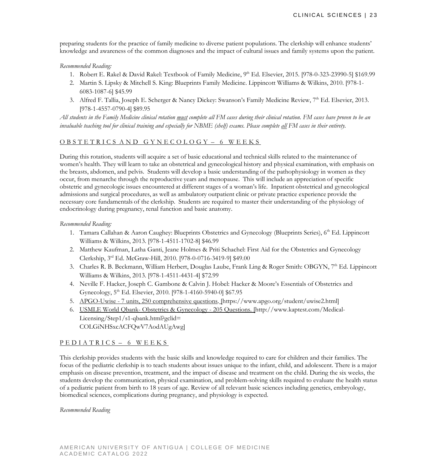preparing students for the practice of family medicine to diverse patient populations. The clerkship will enhance students' knowledge and awareness of the common diagnoses and the impact of cultural issues and family systems upon the patient.

#### *Recommended Reading:*

- 1. Robert E. Rakel & David Rakel: Textbook of Family Medicine, 9<sup>th</sup> Ed. Elsevier, 2015. [978-0-323-23990-5] \$169.99
- 2. Martin S. Lipsky & Mitchell S. King: Blueprints Family Medicine. Lippincott Williams & Wilkins, 2010. [978-1- 6083-1087-6] \$45.99
- 3. [Alfred F. Tallia,](http://www.amazon.com/s/ref=dp_byline_sr_book_1?ie=UTF8&field-author=Alfred+F.+Tallia+MD++MPH&search-alias=books&text=Alfred+F.+Tallia+MD++MPH&sort=relevancerank) [Joseph E. Scherger](http://www.amazon.com/s/ref=dp_byline_sr_book_2?ie=UTF8&field-author=Joseph+E.+Scherger+MD++MPH&search-alias=books&text=Joseph+E.+Scherger+MD++MPH&sort=relevancerank) & [Nancy Dickey:](http://www.amazon.com/s/ref=dp_byline_sr_book_3?ie=UTF8&field-author=Nancy+Dickey+MD&search-alias=books&text=Nancy+Dickey+MD&sort=relevancerank) Swanson's Family Medicine Review, 7<sup>th</sup> Ed. Elsevier, 2013. [978-1-4557-0790-4] \$89.95

*All students in the Family Medicine clinical rotation must complete all FM cases during their clinical rotation. FM cases have proven to be an invaluable teaching tool for clinical training and especially for NBME (shelf) exams. Please complete all FM cases in their entirety.* 

#### OBSTETRICS AND GYNECOLOGY – 6 WEEKS

During this rotation, students will acquire a set of basic educational and technical skills related to the maintenance of women's health. They will learn to take an obstetrical and gynecological history and physical examination, with emphasis on the breasts, abdomen, and pelvis. Students will develop a basic understanding of the pathophysiology in women as they occur, from menarche through the reproductive years and menopause. This will include an appreciation of specific obstetric and gynecologic issues encountered at different stages of a woman's life. Inpatient obstetrical and gynecological admissions and surgical procedures, as well as ambulatory outpatient clinic or private practice experience provide the necessary core fundamentals of the clerkship. Students are required to master their understanding of the physiology of endocrinology during pregnancy, renal function and basic anatomy.

#### *Recommended Reading:*

- 1. Tamara Callahan & Aaron Caughey: Blueprints Obstetrics and Gynecology (Blueprints Series), 6<sup>th</sup> Ed. Lippincott Williams & Wilkins, 2013. [978-1-4511-1702-8] \$46.99
- 2. Matthew Kaufman, Latha Ganti, Jeane Holmes & Priti Schachel: First Aid for the Obstetrics and Gynecology Clerkship, 3rd Ed. McGraw-Hill, 2010. [978-0-0716-3419-9] \$49.00
- 3. Charles R. B. Beckmann, William Herbert, Douglas Laube, Frank Ling & Roger Smith: OBGYN, 7<sup>th</sup> Ed. Lippincott Williams & Wilkins, 2013. [978-1-4511-4431-4] \$72.99
- 4. Neville F. Hacker, Joseph C. Gambone & Calvin J. Hobel: Hacker & Moore's Essentials of Obstetrics and Gynecology, 5<sup>th</sup> Ed. Elsevier, 2010. [978-1-4160-5940-0] \$67.95
- 5. APGO-Uwise [7 units, 250 comprehensive questions.](https://www.apgo.org/student/uwise2.html) [https://www.apgo.org/student/uwise2.html]
- 6. USMLE World Qbank- [Obstetrics & Gynecology -](http://www.kaptest.com/Medical-Licensing/Step1/s1-qbank.html?gclid=COLGiNHSxcACFQwV7AodAUgAwg) 205 Questions. [http://www.kaptest.com/Medical-Licensing/Step1/s1-qbank.html?gclid= COLGiNHSxcACFQwV7AodAUgAwg]

#### PEDIATRICS – 6 WEEKS

This clerkship provides students with the basic skills and knowledge required to care for children and their families. The focus of the pediatric clerkship is to teach students about issues unique to the infant, child, and adolescent. There is a major emphasis on disease prevention, treatment, and the impact of disease and treatment on the child. During the six weeks, the students develop the communication, physical examination, and problem-solving skills required to evaluate the health status of a pediatric patient from birth to 18 years of age. Review of all relevant basic sciences including genetics, embryology, biomedical sciences, complications during pregnancy, and physiology is expected.

*Recommended Reading*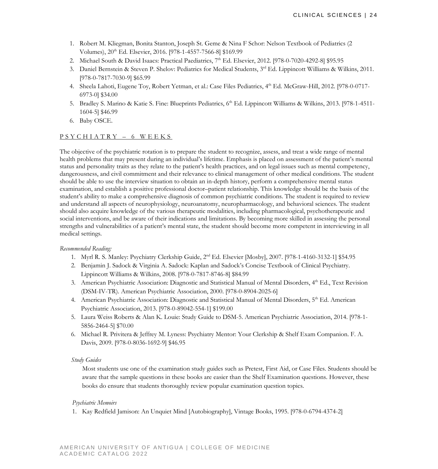- 1. Robert M. Kliegman, Bonita Stanton, Joseph St. Geme & Nina F Schor: Nelson Textbook of Pediatrics (2 Volumes), 20th Ed. Elsevier, 2016. [978-1-4557-7566-8] \$169.99
- 2. Michael South & David Isaacs: Practical Paediatrics, 7<sup>th</sup> Ed. Elsevier, 2012. [978-0-7020-4292-8] \$95.95
- 3. Daniel Bernstein & Steven P. Shelov: Pediatrics for Medical Students, 3rd Ed. Lippincott Williams & Wilkins, 2011. [978-0-7817-7030-9] \$65.99
- 4. Sheela Lahoti, Eugene Toy, Robert Yetman, et al.: Case Files Pediatrics, 4<sup>th</sup> Ed. McGraw-Hill, 2012. [978-0-0717-6973-0] \$34.00
- 5. Bradley S. Marino & Katie S. Fine: Blueprints Pediatrics, 6<sup>th</sup> Ed. Lippincott Williams & Wilkins, 2013. [978-1-4511-1604-5] \$46.99
- 6. Baby OSCE.

#### PSYCHIATRY – 6 WEEKS

The objective of the psychiatric rotation is to prepare the student to recognize, assess, and treat a wide range of mental health problems that may present during an individual's lifetime. Emphasis is placed on assessment of the patient's mental status and personality traits as they relate to the patient's health practices, and on legal issues such as mental competency, dangerousness, and civil commitment and their relevance to clinical management of other medical conditions. The student should be able to use the interview situation to obtain an in-depth history, perform a comprehensive mental status examination, and establish a positive professional doctor–patient relationship. This knowledge should be the basis of the student's ability to make a comprehensive diagnosis of common psychiatric conditions. The student is required to review and understand all aspects of neurophysiology, neuroanatomy, neuropharmacology, and behavioral sciences. The student should also acquire knowledge of the various therapeutic modalities, including pharmacological, psychotherapeutic and social interventions, and be aware of their indications and limitations. By becoming more skilled in assessing the personal strengths and vulnerabilities of a patient's mental state, the student should become more competent in interviewing in all medical settings.

#### *Recommended Reading:*

- 1. Myrl R. S. Manley: Psychiatry Clerkship Guide, 2nd Ed. Elsevier [Mosby], 2007. [978-1-4160-3132-1] \$54.95
- 2. Benjamin J. Sadock & Virginia A. Sadock: Kaplan and Sadock's Concise Textbook of Clinical Psychiatry. Lippincott Williams & Wilkins, 2008. [978-0-7817-8746-8] \$84.99
- 3. American Psychiatric Association: Diagnostic and Statistical Manual of Mental Disorders, 4<sup>th</sup> Ed., Text Revision (DSM-IV-TR). American Psychiatric Association, 2000. [978-0-8904-2025-6]
- 4. American Psychiatric Association: Diagnostic and Statistical Manual of Mental Disorders, 5<sup>th</sup> Ed. American Psychiatric Association, 2013. [978-0-89042-554-1] \$199.00
- 5. Laura Weiss Roberts & Alan K. Louie: Study Guide to DSM-5. American Psychiatric Association, 2014. [978-1- 5856-2464-5] \$70.00
- 6. Michael R. Privitera & Jeffrey M. Lyness: Psychiatry Mentor: Your Clerkship & Shelf Exam Companion. F. A. Davis, 2009. [978-0-8036-1692-9] \$46.95

#### *Study Guides*

Most students use one of the examination study guides such as Pretest, First Aid, or Case Files. Students should be aware that the sample questions in these books are easier than the Shelf Examination questions. However, these books do ensure that students thoroughly review popular examination question topics.

#### *Psychiatric Memoirs*

1. Kay Redfield Jamison: An Unquiet Mind [Autobiography], Vintage Books, 1995. [978-0-6794-4374-2]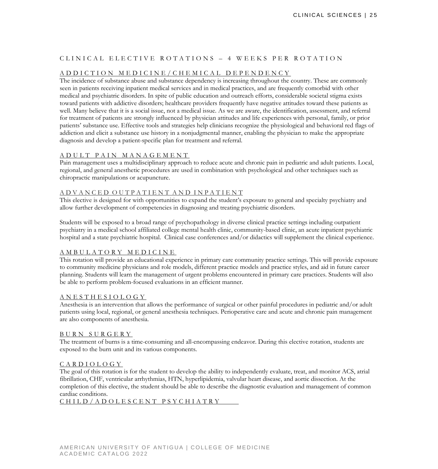# CLINICAL ELECTIVE ROTATIONS – 4 WEEKS PER ROTATION

#### ADDICTION MEDICINE/C HEMICAL DEPENDENCY

The incidence of substance abuse and substance dependency is increasing throughout the country. These are commonly seen in patients receiving inpatient medical services and in medical practices, and are frequently comorbid with other medical and psychiatric disorders. In spite of public education and outreach efforts, considerable societal stigma exists toward patients with addictive disorders; healthcare providers frequently have negative attitudes toward these patients as well. Many believe that it is a social issue, not a medical issue. As we are aware, the identification, assessment, and referral for treatment of patients are strongly influenced by physician attitudes and life experiences with personal, family, or prior patients' substance use. Effective tools and strategies help clinicians recognize the physiological and behavioral red flags of addiction and elicit a substance use history in a nonjudgmental manner, enabling the physician to make the appropriate diagnosis and develop a patient-specific plan for treatment and referral.

#### ADULT PAIN MANAGEMEN T

Pain management uses a multidisciplinary approach to reduce acute and chronic pain in pediatric and adult patients. Local, regional, and general anesthetic procedures are used in combination with psychological and other techniques such as chiropractic manipulations or acupuncture.

#### A D V A N C E D O U T P A T I E N T A N D I N P A T I E N T

This elective is designed for with opportunities to expand the student's exposure to general and specialty psychiatry and allow further development of competencies in diagnosing and treating psychiatric disorders.

Students will be exposed to a broad range of psychopathology in diverse clinical practice settings including outpatient psychiatry in a medical school affiliated college mental health clinic, community-based clinic, an acute inpatient psychiatric hospital and a state psychiatric hospital. Clinical case conferences and/or didactics will supplement the clinical experience.

#### AMBULATORY MEDICINE

This rotation will provide an educational experience in primary care community practice settings. This will provide exposure to community medicine physicians and role models, different practice models and practice styles, and aid in future career planning. Students will learn the management of urgent problems encountered in primary care practices. Students will also be able to perform problem-focused evaluations in an efficient manner.

#### ANESTHESIOLOGY

Anesthesia is an intervention that allows the performance of surgical or other painful procedures in pediatric and/or adult patients using local, regional, or general anesthesia techniques. Perioperative care and acute and chronic pain management are also components of anesthesia.

#### BURN SURGERY

The treatment of burns is a time-consuming and all-encompassing endeavor. During this elective rotation, students are exposed to the burn unit and its various components.

#### CARDIOLOGY

The goal of this rotation is for the student to develop the ability to independently evaluate, treat, and monitor ACS, atrial fibrillation, CHF, ventricular arrhythmias, HTN, hyperlipidemia, valvular heart disease, and aortic dissection. At the completion of this elective, the student should be able to describe the diagnostic evaluation and management of common cardiac conditions.

#### CHILD/ADOLESCENT PSY CHIATRY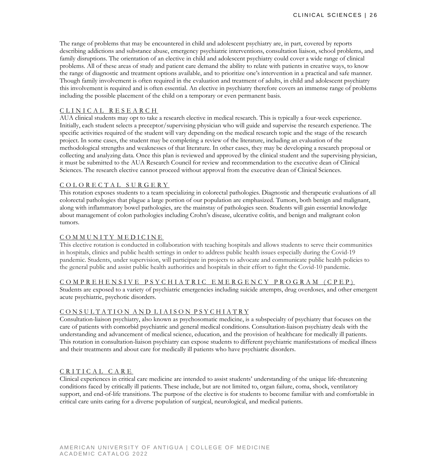The range of problems that may be encountered in child and adolescent psychiatry are, in part, covered by reports describing addictions and substance abuse, emergency psychiatric interventions, consultation liaison, school problems, and family disruptions. The orientation of an elective in child and adolescent psychiatry could cover a wide range of clinical problems. All of these areas of study and patient care demand the ability to relate with patients in creative ways, to know the range of diagnostic and treatment options available, and to prioritize one's intervention in a practical and safe manner. Though family involvement is often required in the evaluation and treatment of adults, in child and adolescent psychiatry this involvement is required and is often essential. An elective in psychiatry therefore covers an immense range of problems including the possible placement of the child on a temporary or even permanent basis.

#### CLINICAL RESEARCH

AUA clinical students may opt to take a research elective in medical research. This is typically a four-week experience. Initially, each student selects a preceptor/supervising physician who will guide and supervise the research experience. The specific activities required of the student will vary depending on the medical research topic and the stage of the research project. In some cases, the student may be completing a review of the literature, including an evaluation of the methodological strengths and weaknesses of that literature. In other cases, they may be developing a research proposal or collecting and analyzing data. Once this plan is reviewed and approved by the clinical student and the supervising physician, it must be submitted to the AUA Research Council for review and recommendation to the executive dean of Clinical Sciences. The research elective cannot proceed without approval from the executive dean of Clinical Sciences.

#### COLORECTAL SURGERY

This rotation exposes students to a team specializing in colorectal pathologies. Diagnostic and therapeutic evaluations of all colorectal pathologies that plague a large portion of our population are emphasized. Tumors, both benign and malignant, along with inflammatory bowel pathologies, are the mainstay of pathologies seen. Students will gain essential knowledge about management of colon pathologies including Crohn's disease, ulcerative colitis, and benign and malignant colon tumors.

#### COMMUNITY MEDICINE

This elective rotation is conducted in collaboration with teaching hospitals and allows students to serve their communities in hospitals, clinics and public health settings in order to address public health issues especially during the Covid-19 pandemic. Students, under supervision, will participate in projects to advocate and communicate public health policies to the general public and assist public health authorities and hospitals in their effort to fight the Covid-10 pandemic.

#### COMPREHENSIVE PSYCHI ATRIC EMERGENCY PROG RAM (CPEP)

Students are exposed to a variety of psychiatric emergencies including suicide attempts, drug overdoses, and other emergent acute psychiatric, psychotic disorders.

#### CONSULTATION AND LIAISON PSYCHIATRY

Consultation-liaison psychiatry, also known as psychosomatic medicine, is a subspecialty of psychiatry that focuses on the care of patients with comorbid psychiatric and general medical conditions. Consultation-liaison psychiatry deals with the understanding and advancement of medical science, education, and the provision of healthcare for medically ill patients. This rotation in consultation-liaison psychiatry can expose students to different psychiatric manifestations of medical illness and their treatments and about care for medically ill patients who have psychiatric disorders.

#### CRITICAL CARE

Clinical experiences in critical care medicine are intended to assist students' understanding of the unique life-threatening conditions faced by critically ill patients. These include, but are not limited to, organ failure, coma, shock, ventilatory support, and end-of-life transitions. The purpose of the elective is for students to become familiar with and comfortable in critical care units caring for a diverse population of surgical, neurological, and medical patients.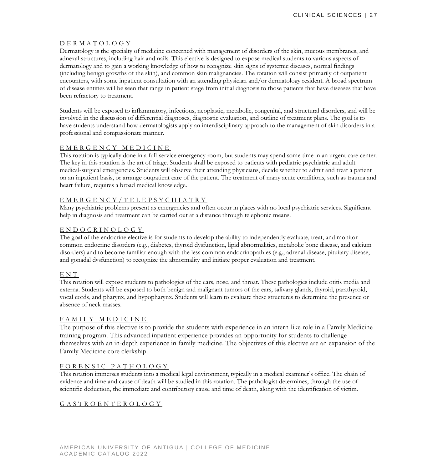#### DERMATOLOGY

Dermatology is the specialty of medicine concerned with management of disorders of the skin, mucous membranes, and adnexal structures, including hair and nails. This elective is designed to expose medical students to various aspects of dermatology and to gain a working knowledge of how to recognize skin signs of systemic diseases, normal findings (including benign growths of the skin), and common skin malignancies. The rotation will consist primarily of outpatient encounters, with some inpatient consultation with an attending physician and/or dermatology resident. A broad spectrum of disease entities will be seen that range in patient stage from initial diagnosis to those patients that have diseases that have been refractory to treatment.

Students will be exposed to inflammatory, infectious, neoplastic, metabolic, congenital, and structural disorders, and will be involved in the discussion of differential diagnoses, diagnostic evaluation, and outline of treatment plans. The goal is to have students understand how dermatologists apply an interdisciplinary approach to the management of skin disorders in a professional and compassionate manner.

#### EMERGENCY MEDICINE

This rotation is typically done in a full-service emergency room, but students may spend some time in an urgent care center. The key in this rotation is the art of triage. Students shall be exposed to patients with pediatric psychiatric and adult medical-surgical emergencies. Students will observe their attending physicians, decide whether to admit and treat a patient on an inpatient basis, or arrange outpatient care of the patient. The treatment of many acute conditions, such as trauma and heart failure, requires a broad medical knowledge.

#### EMERGENCY/TELEPSYCHI ATRY

Many psychiatric problems present as emergencies and often occur in places with no local psychiatric services. Significant help in diagnosis and treatment can be carried out at a distance through telephonic means.

#### ENDOCRINOLOGY

The goal of the endocrine elective is for students to develop the ability to independently evaluate, treat, and monitor common endocrine disorders (e.g., diabetes, thyroid dysfunction, lipid abnormalities, metabolic bone disease, and calcium disorders) and to become familiar enough with the less common endocrinopathies (e.g., adrenal disease, pituitary disease, and gonadal dysfunction) to recognize the abnormality and initiate proper evaluation and treatment.

#### ENT

This rotation will expose students to pathologies of the ears, nose, and throat. These pathologies include otitis media and externa. Students will be exposed to both benign and malignant tumors of the ears, salivary glands, thyroid, parathyroid, vocal cords, and pharynx, and hypopharynx. Students will learn to evaluate these structures to determine the presence or absence of neck masses.

### FAMILY MED ICINE

The purpose of this elective is to provide the students with experience in an intern-like role in a Family Medicine training program. This advanced inpatient experience provides an opportunity for students to challenge themselves with an in-depth experience in family medicine. The objectives of this elective are an expansion of the Family Medicine core clerkship.

#### FORENSIC PATHOLOGY

This rotation immerses students into a medical legal environment, typically in a medical examiner's office. The chain of evidence and time and cause of death will be studied in this rotation. The pathologist determines, through the use of scientific deduction, the immediate and contributory cause and time of death, along with the identification of victim.

#### GASTROENTEROLOGY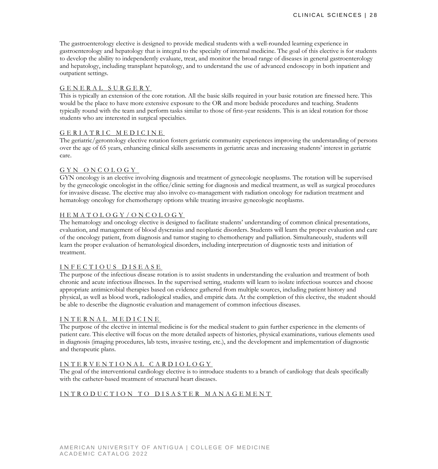The gastroenterology elective is designed to provide medical students with a well-rounded learning experience in gastroenterology and hepatology that is integral to the specialty of internal medicine. The goal of this elective is for students to develop the ability to independently evaluate, treat, and monitor the broad range of diseases in general gastroenterology and hepatology, including transplant hepatology, and to understand the use of advanced endoscopy in both inpatient and outpatient settings.

#### GENERAL SURGERY

This is typically an extension of the core rotation. All the basic skills required in your basic rotation are finessed here. This would be the place to have more extensive exposure to the OR and more bedside procedures and teaching. Students typically round with the team and perform tasks similar to those of first-year residents. This is an ideal rotation for those students who are interested in surgical specialties.

#### GERIATRIC MEDICINE

The geriatric/gerontology elective rotation fosters geriatric community experiences improving the understanding of persons over the age of 65 years, enhancing clinical skills assessments in geriatric areas and increasing students' interest in geriatric care.

#### GYN ONCOLOGY

GYN oncology is an elective involving diagnosis and treatment of gynecologic neoplasms. The rotation will be supervised by the gynecologic oncologist in the office/clinic setting for diagnosis and medical treatment, as well as surgical procedures for invasive disease. The elective may also involve co-management with radiation oncology for radiation treatment and hematology oncology for chemotherapy options while treating invasive gynecologic neoplasms.

#### HEMATOLOGY/ONCOLOGY

The hematology and oncology elective is designed to facilitate students' understanding of common clinical presentations, evaluation, and management of blood dyscrasias and neoplastic disorders. Students will learn the proper evaluation and care of the oncology patient, from diagnosis and tumor staging to chemotherapy and palliation. Simultaneously, students will learn the proper evaluation of hematological disorders, including interpretation of diagnostic tests and initiation of treatment.

#### INFECTIOUS DISEASE

The purpose of the infectious disease rotation is to assist students in understanding the evaluation and treatment of both chronic and acute infectious illnesses. In the supervised setting, students will learn to isolate infectious sources and choose appropriate antimicrobial therapies based on evidence gathered from multiple sources, including patient history and physical, as well as blood work, radiological studies, and empiric data. At the completion of this elective, the student should be able to describe the diagnostic evaluation and management of common infectious diseases.

#### INTERNAL MEDICINE

The purpose of the elective in internal medicine is for the medical student to gain further experience in the elements of patient care. This elective will focus on the more detailed aspects of histories, physical examinations, various elements used in diagnosis (imaging procedures, lab tests, invasive testing, etc.), and the development and implementation of diagnostic and therapeutic plans.

#### INTERVENTIONAL CARDIOLOGY

The goal of the interventional cardiology elective is to introduce students to a branch of cardiology that deals specifically with the catheter-based treatment of structural heart diseases.

#### INTRODUCTION TO DISA STER MANAGEMENT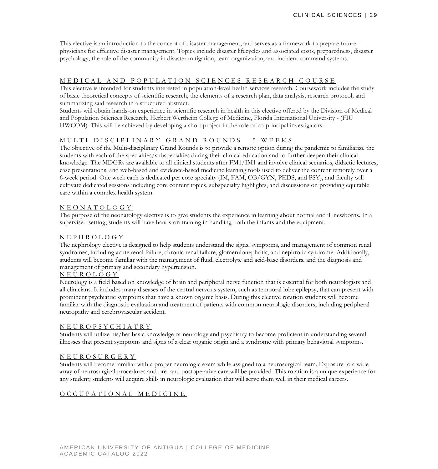This elective is an introduction to the concept of disaster management, and serves as a framework to prepare future physicians for effective disaster management. Topics include disaster lifecycles and associated costs, preparedness, disaster psychology, the role of the community in disaster mitigation, team organization, and incident command systems.

#### MEDICAL AND POPULATION SCIENCES RESEARCH COURSE

This elective is intended for students interested in population-level health services research. Coursework includes the study of basic theoretical concepts of scientific research, the elements of a research plan, data analysis, research protocol, and summarizing said research in a structured abstract.

Students will obtain hands-on experience in scientific research in health in this elective offered by the Division of Medical and Population Sciences Research, Herbert Wertheim College of Medicine, Florida International University - (FIU HWCOM). This will be achieved by developing a short project in the role of co-principal investigators.

#### MULTI - DISCIPLINARY G RAND ROUNDS – 5 WEEKS

The objective of the Multi-disciplinary Grand Rounds is to provide a remote option during the pandemic to familiarize the students with each of the specialties/subspecialties during their clinical education and to further deepen their clinical knowledge. The MDGRs are available to all clinical students after FM1/IM1 and involve clinical scenarios, didactic lectures, case presentations, and web-based and evidence-based medicine learning tools used to deliver the content remotely over a 6-week period. One week each is dedicated per core specialty (IM, FAM, OB/GYN, PEDS, and PSY), and faculty will cultivate dedicated sessions including core content topics, subspecialty highlights, and discussions on providing equitable care within a complex health system.

#### NEONATOLOGY

The purpose of the neonatology elective is to give students the experience in learning about normal and ill newborns. In a supervised setting, students will have hands-on training in handling both the infants and the equipment.

#### NEPHROLOGY

The nephrology elective is designed to help students understand the signs, symptoms, and management of common renal syndromes, including acute renal failure, chronic renal failure, glomerulonephritis, and nephrotic syndrome. Additionally, students will become familiar with the management of fluid, electrolyte and acid-base disorders, and the diagnosis and management of primary and secondary hypertension.

#### NEUROLOGY

Neurology is a field based on knowledge of brain and peripheral nerve function that is essential for both neurologists and all clinicians. It includes many diseases of the central nervous system, such as temporal lobe epilepsy, that can present with prominent psychiatric symptoms that have a known organic basis. During this elective rotation students will become familiar with the diagnostic evaluation and treatment of patients with common neurologic disorders, including peripheral neuropathy and cerebrovascular accident.

#### NEUROPSYCHIATRY

Students will utilize his/her basic knowledge of neurology and psychiatry to become proficient in understanding several illnesses that present symptoms and signs of a clear organic origin and a syndrome with primary behavioral symptoms.

#### NEUROSURGERY

Students will become familiar with a proper neurologic exam while assigned to a neurosurgical team. Exposure to a wide array of neurosurgical procedures and pre- and postoperative care will be provided. This rotation is a unique experience for any student; students will acquire skills in neurologic evaluation that will serve them well in their medical careers.

#### OCCUPATIONAL MEDICINE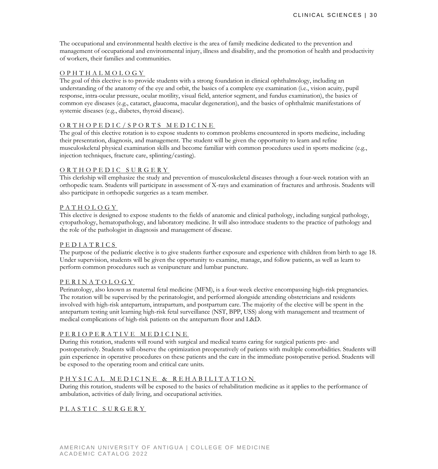The occupational and environmental health elective is the area of family medicine dedicated to the prevention and management of occupational and environmental injury, illness and disability, and the promotion of health and productivity of workers, their families and communities.

#### OPHTHALMOLOGY

The goal of this elective is to provide students with a strong foundation in clinical ophthalmology, including an understanding of the anatomy of the eye and orbit, the basics of a complete eye examination (i.e., vision acuity, pupil response, intra-ocular pressure, ocular motility, visual field, anterior segment, and fundus examination), the basics of common eye diseases (e.g., cataract, glaucoma, macular degeneration), and the basics of ophthalmic manifestations of systemic diseases (e.g., diabetes, thyroid disease).

### ORTHOPEDIC/SPORTS MEDICINE

The goal of this elective rotation is to expose students to common problems encountered in sports medicine, including their presentation, diagnosis, and management. The student will be given the opportunity to learn and refine musculoskeletal physical examination skills and become familiar with common procedures used in sports medicine (e.g., injection techniques, fracture care, splinting/casting).

#### ORTHOPEDIC SURGERY

This clerkship will emphasize the study and prevention of musculoskeletal diseases through a four-week rotation with an orthopedic team. Students will participate in assessment of X-rays and examination of fractures and arthrosis. Students will also participate in orthopedic surgeries as a team member.

#### PATHOLOGY

This elective is designed to expose students to the fields of anatomic and clinical pathology, including surgical pathology, cytopathology, hematopathology, and laboratory medicine. It will also introduce students to the practice of pathology and the role of the pathologist in diagnosis and management of disease.

#### PEDIATRICS

The purpose of the pediatric elective is to give students further exposure and experience with children from birth to age 18. Under supervision, students will be given the opportunity to examine, manage, and follow patients, as well as learn to perform common procedures such as venipuncture and lumbar puncture.

#### PERINATOLOGY

Perinatology, also known as maternal fetal medicine (MFM), is a four-week elective encompassing high-risk pregnancies. The rotation will be supervised by the perinatologist, and performed alongside attending obstetricians and residents involved with high-risk antepartum, intrapartum, and postpartum care. The majority of the elective will be spent in the antepartum testing unit learning high-risk fetal surveillance (NST, BPP, USS) along with management and treatment of medical complications of high-risk patients on the antepartum floor and L&D.

# PERIOPERATIVE MEDICINE

During this rotation, students will round with surgical and medical teams caring for surgical patients pre- and postoperatively. Students will observe the optimization preoperatively of patients with multiple comorbidities. Students will gain experience in operative procedures on these patients and the care in the immediate postoperative period. Students will be exposed to the operating room and critical care units.

# PHYSICAL MEDICINE & REHABILITATION

During this rotation, students will be exposed to the basics of rehabilitation medicine as it applies to the performance of ambulation, activities of daily living, and occupational activities.

#### PLASTIC SURGERY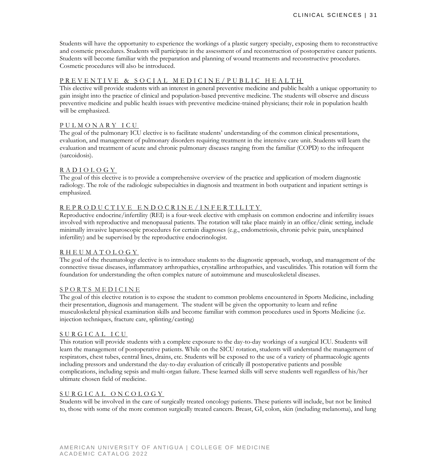Students will have the opportunity to experience the workings of a plastic surgery specialty, exposing them to reconstructive and cosmetic procedures. Students will participate in the assessment of and reconstruction of postoperative cancer patients. Students will become familiar with the preparation and planning of wound treatments and reconstructive procedures. Cosmetic procedures will also be introduced.

#### PREVENTIVE & SOCIAL MEDICINE/PUBLIC HEALTH

This elective will provide students with an interest in general preventive medicine and public health a unique opportunity to gain insight into the practice of clinical and population-based preventive medicine. The students will observe and discuss preventive medicine and public health issues with preventive medicine-trained physicians; their role in population health will be emphasized.

#### PULMONARY ICU

The goal of the pulmonary ICU elective is to facilitate students' understanding of the common clinical presentations, evaluation, and management of pulmonary disorders requiring treatment in the intensive care unit. Students will learn the evaluation and treatment of acute and chronic pulmonary diseases ranging from the familiar (COPD) to the infrequent (sarcoidosis).

#### RADIOLOGY

The goal of this elective is to provide a comprehensive overview of the practice and application of modern diagnostic radiology. The role of the radiologic subspecialties in diagnosis and treatment in both outpatient and inpatient settings is emphasized.

#### REPRODUCTIVE ENDOCRINE/INFERTILITY

Reproductive endocrine/infertility (REI) is a four-week elective with emphasis on common endocrine and infertility issues involved with reproductive and menopausal patients. The rotation will take place mainly in an office/clinic setting, include minimally invasive laparoscopic procedures for certain diagnoses (e.g., endometriosis, chronic pelvic pain, unexplained infertility) and be supervised by the reproductive endocrinologist.

#### RHEUMATOLOGY

The goal of the rheumatology elective is to introduce students to the diagnostic approach, workup, and management of the connective tissue diseases, inflammatory arthropathies, crystalline arthropathies, and vasculitides. This rotation will form the foundation for understanding the often complex nature of autoimmune and musculoskeletal diseases.

#### SPORTS MEDICINE

The goal of this elective rotation is to expose the student to common problems encountered in Sports Medicine, including their presentation, diagnosis and management. The student will be given the opportunity to learn and refine musculoskeletal physical examination skills and become familiar with common procedures used in Sports Medicine (i.e. injection techniques, fracture care, splinting/casting)

#### S URGICAL ICU

This rotation will provide students with a complete exposure to the day-to-day workings of a surgical ICU. Students will learn the management of postoperative patients. While on the SICU rotation, students will understand the management of respirators, chest tubes, central lines, drains, etc. Students will be exposed to the use of a variety of pharmacologic agents including pressors and understand the day-to-day evaluation of critically ill postoperative patients and possible complications, including sepsis and multi-organ failure. These learned skills will serve students well regardless of his/her ultimate chosen field of medicine.

#### SURGICAL ONCOLOGY

Students will be involved in the care of surgically treated oncology patients. These patients will include, but not be limited to, those with some of the more common surgically treated cancers. Breast, GI, colon, skin (including melanoma), and lung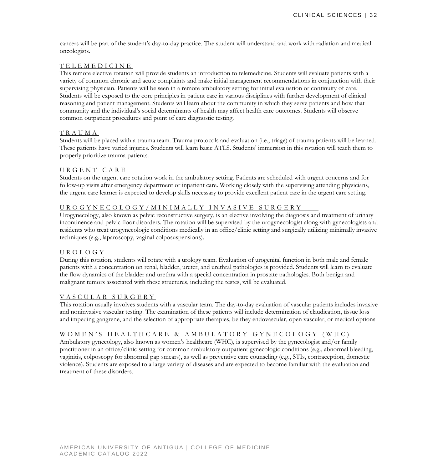cancers will be part of the student's day-to-day practice. The student will understand and work with radiation and medical oncologists.

#### TELEMEDICINE

This remote elective rotation will provide students an introduction to telemedicine. Students will evaluate patients with a variety of common chronic and acute complaints and make initial management recommendations in conjunction with their supervising physician. Patients will be seen in a remote ambulatory setting for initial evaluation or continuity of care. Students will be exposed to the core principles in patient care in various disciplines with further development of clinical reasoning and patient management. Students will learn about the community in which they serve patients and how that community and the individual's social determinants of health may affect health care outcomes. Students will observe common outpatient procedures and point of care diagnostic testing.

#### TRAUMA

Students will be placed with a trauma team. Trauma protocols and evaluation (i.e., triage) of trauma patients will be learned. These patients have varied injuries. Students will learn basic ATLS. Students' immersion in this rotation will teach them to properly prioritize trauma patients.

#### URGENT CARE

Students on the urgent care rotation work in the ambulatory setting. Patients are scheduled with urgent concerns and for follow-up visits after emergency department or inpatient care. Working closely with the supervising attending physicians, the urgent care learner is expected to develop skills necessary to provide excellent patient care in the urgent care setting.

#### UROGYNECOLOGY/MINIMA LLY INVASIVE SURGERY

Urogynecology, also known as pelvic reconstructive surgery, is an elective involving the diagnosis and treatment of urinary incontinence and pelvic floor disorders. The rotation will be supervised by the urogynecologist along with gynecologists and residents who treat urogynecologic conditions medically in an office/clinic setting and surgically utilizing minimally invasive techniques (e.g., laparoscopy, vaginal colposuspensions).

#### UROLOGY

During this rotation, students will rotate with a urology team. Evaluation of urogenital function in both male and female patients with a concentration on renal, bladder, ureter, and urethral pathologies is provided. Students will learn to evaluate the flow dynamics of the bladder and urethra with a special concentration in prostate pathologies. Both benign and malignant tumors associated with these structures, including the testes, will be evaluated.

#### VASCULAR SURGERY

This rotation usually involves students with a vascular team. The day-to-day evaluation of vascular patients includes invasive and noninvasive vascular testing. The examination of these patients will include determination of claudication, tissue loss and impeding gangrene, and the selection of appropriate therapies, be they endovascular, open vascular, or medical options

#### WOMEN'S HEALTH CARE & AMBULATORY GYNECOLO GY (WHC)

Ambulatory gynecology, also known as women's healthcare (WHC), is supervised by the gynecologist and/or family practitioner in an office/clinic setting for common ambulatory outpatient gynecologic conditions (e.g., abnormal bleeding, vaginitis, colposcopy for abnormal pap smears), as well as preventive care counseling (e.g., STIs, contraception, domestic violence). Students are exposed to a large variety of diseases and are expected to become familiar with the evaluation and treatment of these disorders.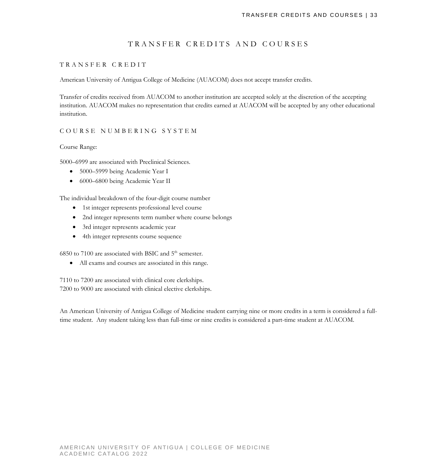# TRANSFER CREDITS AND COURSES

#### TRANSFER CREDIT

American University of Antigua College of Medicine (AUACOM) does not accept transfer credits.

Transfer of credits received from AUACOM to another institution are accepted solely at the discretion of the accepting institution. AUACOM makes no representation that credits earned at AUACOM will be accepted by any other educational institution.

#### COURSE NUMBERING SYSTEM

Course Range:

5000–6999 are associated with Preclinical Sciences.

- 5000–5999 being Academic Year I
- 6000–6800 being Academic Year II

The individual breakdown of the four-digit course number

- 1st integer represents professional level course
- 2nd integer represents term number where course belongs
- 3rd integer represents academic year
- 4th integer represents course sequence

6850 to 7100 are associated with BSIC and  $5<sup>th</sup>$  semester.

• All exams and courses are associated in this range.

7110 to 7200 are associated with clinical core clerkships. 7200 to 9000 are associated with clinical elective clerkships.

An American University of Antigua College of Medicine student carrying nine or more credits in a term is considered a fulltime student. Any student taking less than full-time or nine credits is considered a part-time student at AUACOM.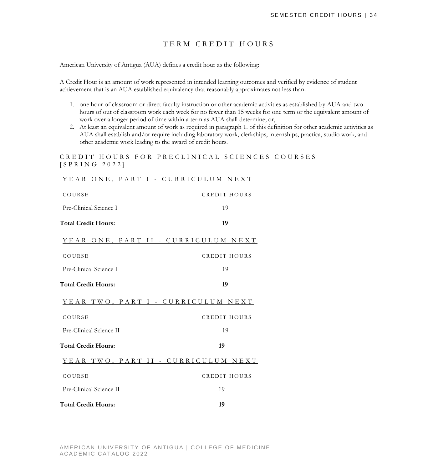# TERM CREDIT HOURS

American University of Antigua (AUA) defines a credit hour as the following:

A Credit Hour is an amount of work represented in intended learning outcomes and verified by evidence of student achievement that is an AUA established equivalency that reasonably approximates not less than-

- 1. one hour of classroom or direct faculty instruction or other academic activities as established by AUA and two hours of out of classroom work each week for no fewer than 15 weeks for one term or the equivalent amount of work over a longer period of time within a term as AUA shall determine; or,
- 2. At least an equivalent amount of work as required in paragraph 1. of this definition for other academic activities as AUA shall establish and/or require including laboratory work, clerkships, internships, practica, studio work, and other academic work leading to the award of credit hours.

CREDIT HOURS FOR PRECLINICAL SCIENCES COURSES [ SPRING 202 2 ]

#### YEAR ONE, PART I - CURRICULUM NEXT

| COURSE                              | <b>CREDIT HOURS</b> |
|-------------------------------------|---------------------|
| Pre-Clinical Science I              | 19                  |
| <b>Total Credit Hours:</b>          | 19                  |
| YEAR ONE, PART II - CURRICULUM NEXT |                     |
| COURSE                              | <b>CREDIT HOURS</b> |
| Pre-Clinical Science I              | 19                  |
| <b>Total Credit Hours:</b>          | 19                  |
| YEAR TWO, PART I - CURRICULUM NEXT  |                     |
| COURSE                              | <b>CREDIT HOURS</b> |
| Pre-Clinical Science II             | 19                  |
| <b>Total Credit Hours:</b>          | 19                  |
| YEAR TWO, PART II - CURRICULUM NEXT |                     |
| COURSE                              | CREDIT HOURS        |
| Pre-Clinical Science II             | 19                  |
| <b>Total Credit Hours:</b>          | 19                  |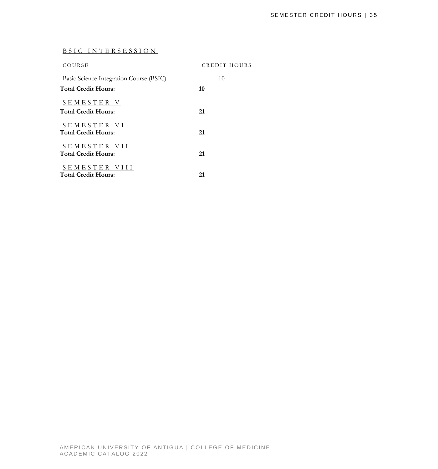# BSIC INTERSESSION

| COURSE                                          | CREDIT HOURS |
|-------------------------------------------------|--------------|
| Basic Science Integration Course (BSIC)         | 10           |
| <b>Total Credit Hours:</b>                      | 10           |
| <b>SEMESTER V</b><br><b>Total Credit Hours:</b> | 21           |
| SEMESTER VI<br><b>Total Credit Hours:</b>       | 21           |
| SEMESTER VII<br><b>Total Credit Hours:</b>      | 21           |
| SEMESTER VIII<br><b>Total Credit Hours:</b>     | 21           |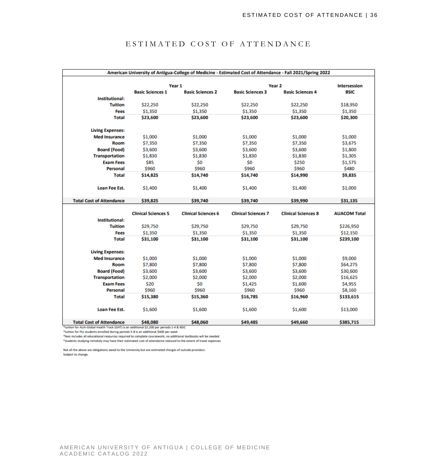| American University of Antigua-College of Medicine - Estimated Cost of Attendance - Fall 2021/Spring 2022                      |                            |                            |                            |                            |                     |
|--------------------------------------------------------------------------------------------------------------------------------|----------------------------|----------------------------|----------------------------|----------------------------|---------------------|
|                                                                                                                                |                            | Year 1                     |                            | Year <sub>2</sub>          | <b>Intersession</b> |
|                                                                                                                                | <b>Basic Sciences 1</b>    | <b>Basic Sciences 2</b>    | <b>Basic Sciences 3</b>    | <b>Basic Sciences 4</b>    | <b>BSIC</b>         |
| <b>Institutional:</b>                                                                                                          |                            |                            |                            |                            |                     |
| <b>Tuition</b>                                                                                                                 | \$22,250                   | \$22,250                   | \$22,250                   | \$22,250                   | \$18,950            |
| <b>Fees</b>                                                                                                                    | \$1,350                    | \$1,350                    | \$1,350                    | \$1,350                    | \$1,350             |
| <b>Total</b>                                                                                                                   | \$23,600                   | \$23,600                   | \$23,600                   | \$23,600                   | \$20,300            |
| <b>Living Expenses:</b>                                                                                                        |                            |                            |                            |                            |                     |
| <b>Med Insurance</b>                                                                                                           | \$1,000                    | \$1,000                    | \$1,000                    | \$1,000                    | \$1,000             |
| Room                                                                                                                           | \$7,350                    | \$7,350                    | \$7,350                    | \$7,350                    | \$3,675             |
| <b>Board (Food)</b>                                                                                                            | \$3,600                    | \$3,600                    | \$3,600                    | \$3,600                    | \$1,800             |
| <b>Transportation</b>                                                                                                          | \$1,830                    | \$1,830                    | \$1,830                    | \$1,830                    | \$1,305             |
| <b>Exam Fees</b>                                                                                                               | \$85                       | \$0                        | \$0                        | \$250                      | \$1,575             |
| Personal                                                                                                                       | \$960                      | \$960                      | \$960                      | \$960                      | \$480               |
| <b>Total</b>                                                                                                                   | \$14,825                   | \$14,740                   | \$14,740                   | \$14,990                   | \$9,835             |
| <b>Loan Fee Est.</b>                                                                                                           | \$1,400                    | \$1,400                    | \$1,400                    | \$1,400                    | \$1,000             |
| <b>Total Cost of Attendance</b>                                                                                                | \$39,825                   | \$39,740                   | \$39,740                   | \$39,990                   | \$31,135            |
| <b>Institutional:</b>                                                                                                          | <b>Clinical Sciences 5</b> | <b>Clinical Sciences 6</b> | <b>Clinical Sciences 7</b> | <b>Clinical Sciences 8</b> | <b>AUACOM Total</b> |
| <b>Tuition</b>                                                                                                                 | \$29,750                   | \$29,750                   | \$29,750                   | \$29,750                   | \$226,950           |
| <b>Fees</b>                                                                                                                    | \$1,350                    | \$1,350                    | \$1,350                    | \$1,350                    | \$12,150            |
| <b>Total</b>                                                                                                                   | \$31,100                   | \$31,100                   | \$31,100                   | \$31,100                   | \$239,100           |
| <b>Living Expenses:</b>                                                                                                        |                            |                            |                            |                            |                     |
| <b>Med Insurance</b>                                                                                                           | \$1,000                    | \$1,000                    | \$1,000                    | \$1,000                    | \$9,000             |
| Room                                                                                                                           | \$7,800                    | \$7,800                    | \$7,800                    | \$7,800                    | \$64,275            |
| <b>Board (Food)</b>                                                                                                            | \$3,600                    | \$3,600                    | \$3,600                    | \$3,600                    | \$30,600            |
| <b>Transportation</b>                                                                                                          | \$2,000                    | \$2,000                    | \$2,000                    | \$2,000                    | \$16,625            |
| <b>Exam Fees</b>                                                                                                               | \$20                       | \$0                        | \$1,425                    | \$1,600                    | \$4,955             |
| <b>Personal</b>                                                                                                                | \$960                      | \$960                      | \$960                      | \$960                      | \$8,160             |
| <b>Total</b>                                                                                                                   | \$15,380                   | \$15,360                   | \$16,785                   | \$16,960                   | \$133,615           |
| <b>Loan Fee Est.</b>                                                                                                           | \$1,600                    | \$1,600                    | \$1,600                    | \$1,600                    | \$13,000            |
| <b>Total Cost of Attendance</b><br>*tuition for ALIA-Global Health Track (GHT) is an additional \$2,200 per periods 1-4 & BSIC | \$48,080                   | \$48,060                   | \$49,485                   | \$49,660                   | \$385,715           |

# ESTIMATED COST OF ATTENDANCE

\*tuition for FIU students enrolled during periods 5-8 is an additional \$400 per week

\*fees includes all educational resources required to complete coursework; no additional textbooks will be needed

\*students studying remotely may have their estimated cost of attendance reduced to the extent of travel expenses

Not all the above are obligations owed to the University but are estimated charges of outside providers. Subject to change.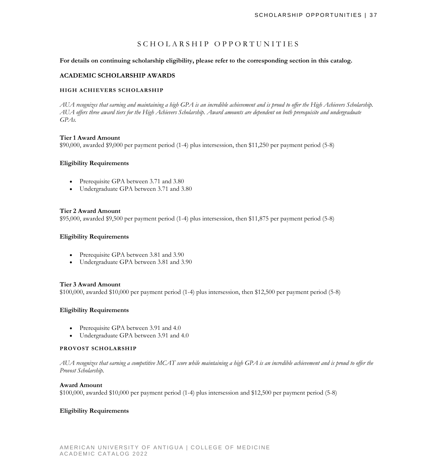# SCHOLARSHIP OPPORTUNITIES

**For details on continuing scholarship eligibility, please refer to the corresponding section in this catalog.**

#### **ACADEMIC SCHOLARSHIP AWARDS**

#### **HIGH ACHIEVERS SCHOLARSHIP**

AUA recognizes that earning and maintaining a high GPA is an incredible achievement and is proud to offer the High Achievers Scholarship. *AUA offers three award tiers for the High Achievers Scholarship. Award amounts are dependent on both prerequisite and undergraduate GPAs.*

#### **Tier 1 Award Amount**

\$90,000, awarded \$9,000 per payment period (1-4) plus intersession, then \$11,250 per payment period (5-8)

#### **Eligibility Requirements**

- Prerequisite GPA between 3.71 and 3.80
- Undergraduate GPA between 3.71 and 3.80

#### **Tier 2 Award Amount**

\$95,000, awarded \$9,500 per payment period (1-4) plus intersession, then \$11,875 per payment period (5-8)

#### **Eligibility Requirements**

- Prerequisite GPA between 3.81 and 3.90
- Undergraduate GPA between 3.81 and 3.90

#### **Tier 3 Award Amount**

\$100,000, awarded \$10,000 per payment period (1-4) plus intersession, then \$12,500 per payment period (5-8)

#### **Eligibility Requirements**

- Prerequisite GPA between 3.91 and 4.0
- Undergraduate GPA between 3.91 and 4.0

#### **PROVOST SCHOLARSHIP**

AUA recognizes that earning a competitive MCAT score while maintaining a high GPA is an incredible achievement and is proud to offer the *Provost Scholarship.*

#### **Award Amount**

\$100,000, awarded \$10,000 per payment period (1-4) plus intersession and \$12,500 per payment period (5-8)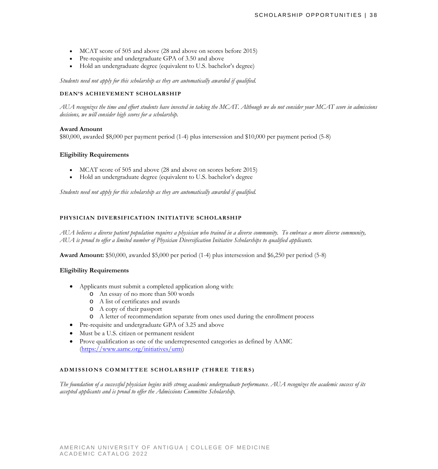- MCAT score of 505 and above (28 and above on scores before 2015)
- Pre-requisite and undergraduate GPA of 3.50 and above
- Hold an undergraduate degree (equivalent to U.S. bachelor's degree)

*Students need not apply for this scholarship as they are automatically awarded if qualified.*

#### **DEAN'S ACHIEVEMENT SCHOLARSHIP**

AUA recognizes the time and effort students have invested in taking the MCAT. Although we do not consider your MCAT score in admissions *decisions, we will consider high scores for a scholarship.*

#### **Award Amount**

\$80,000, awarded \$8,000 per payment period (1-4) plus intersession and \$10,000 per payment period (5-8)

#### **Eligibility Requirements**

- MCAT score of 505 and above (28 and above on scores before 2015)
- Hold an undergraduate degree (equivalent to U.S. bachelor's degree

*Students need not apply for this scholarship as they are automatically awarded if qualified.*

#### **PHYSICIAN DIVERSIFICATION INITIATIVE SCHOLARSHIP**

*AUA believes a diverse patient population requires a physician who trained in a diverse community. To embrace a more diverse community, AUA is proud to offer a limited number of Physician Diversification Initiative Scholarships to qualified applicants.*

**Award Amount:** \$50,000, awarded \$5,000 per period (1-4) plus intersession and \$6,250 per period (5-8)

#### **Eligibility Requirements**

- Applicants must submit a completed application along with:
	- o An essay of no more than 500 words
	- o A list of certificates and awards
	- o A copy of their passport
	- o A letter of recommendation separate from ones used during the enrollment process
- Pre-requisite and undergraduate GPA of 3.25 and above
- Must be a U.S. citizen or permanent resident
- Prove qualification as one of the underrepresented categories as defined by AAMC [\(https://www.aamc.org/initiatives/urm\)](https://www.aamc.org/initiatives/urm)

#### **ADMISSIONS COMMITTEE SCHOLARSHIP (THREE TIERS)**

*The foundation of a successful physician begins with strong academic undergraduate performance. AUA recognizes the academic success of its accepted applicants and is proud to offer the Admissions Committee Scholarship.*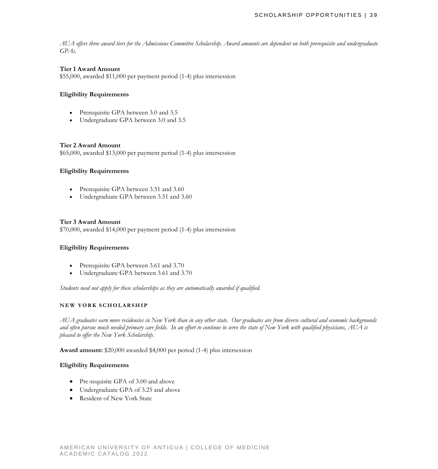*AUA offers three award tiers for the Admissions Committee Scholarship. Award amounts are dependent on both prerequisite and undergraduate GPAs.*

#### **Tier 1 Award Amount**

\$55,000, awarded \$11,000 per payment period (1-4) plus intersession

#### **Eligibility Requirements**

- Prerequisite GPA between 3.0 and 3.5
- Undergraduate GPA between 3.0 and 3.5

#### **Tier 2 Award Amount**

\$65,000, awarded \$13,000 per payment period (1-4) plus intersession

#### **Eligibility Requirements**

- Prerequisite GPA between 3.51 and 3.60
- Undergraduate GPA between 3.51 and 3.60

#### **Tier 3 Award Amount**

\$70,000, awarded \$14,000 per payment period (1-4) plus intersession

#### **Eligibility Requirements**

- Prerequisite GPA between 3.61 and 3.70
- Undergraduate GPA between 3.61 and 3.70

*Students need not apply for these scholarships as they are automatically awarded if qualified.*

#### **NEW YORK SCHOLARS HIP**

*AUA graduates earn more residencies in New York than in any other state. Our graduates are from diverse cultural and economic backgrounds and often pursue much needed primary care fields. In an effort to continue to serve the state of New York with qualified physicians, AUA is pleased to offer the New York Scholarship.*

**Award amount:** \$20,000 awarded \$4,000 per period (1-4) plus intersession

- Pre-requisite GPA of 3.00 and above
- Undergraduate GPA of 3.25 and above
- Resident of New York State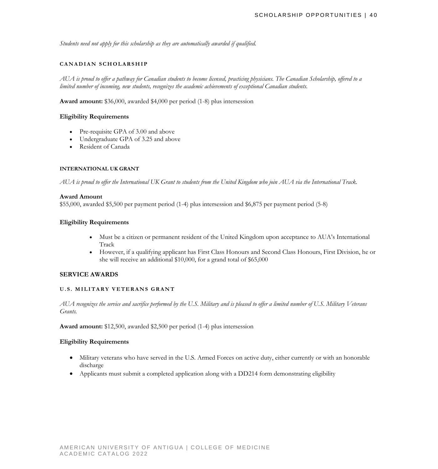*Students need not apply for this scholarship as they are automatically awarded if qualified.* 

#### **CANADIAN SCHOLARS HIP**

*AUA is proud to offer a pathway for Canadian students to become licensed, practicing physicians. The Canadian Scholarship, offered to a limited number of incoming, new students, recognizes the academic achievements of exceptional Canadian students.*

**Award amount:** \$36,000, awarded \$4,000 per period (1-8) plus intersession

#### **Eligibility Requirements**

- Pre-requisite GPA of 3.00 and above
- Undergraduate GPA of 3.25 and above
- Resident of Canada

#### **INTERNATIONAL UK GRANT**

AUA is proud to offer the International UK Grant to students from the United Kingdom who join AUA via the International Track.

#### **Award Amount**

\$55,000, awarded \$5,500 per payment period (1-4) plus intersession and \$6,875 per payment period (5-8)

### **Eligibility Requirements**

- Must be a citizen or permanent resident of the United Kingdom upon acceptance to AUA's International Track
- However, if a qualifying applicant has First Class Honours and Second Class Honours, First Division, he or she will receive an additional \$10,000, for a grand total of \$65,000

#### **SERVICE AWARDS**

#### **U.S. MILITARY VETERANS GRANT**

*AUA recognizes the service and sacrifice performed by the U.S. Military and is pleased to offer a limited number of U.S. Military Veterans Grants.*

**Award amount:** \$12,500, awarded \$2,500 per period (1-4) plus intersession

- Military veterans who have served in the U.S. Armed Forces on active duty, either currently or with an honorable discharge
- Applicants must submit a completed application along with a DD214 form demonstrating eligibility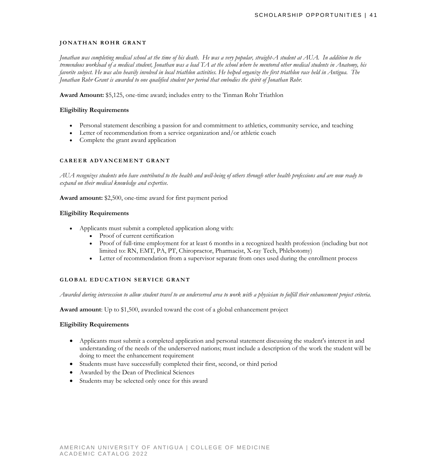#### **JONATHAN ROHR GRANT**

*Jonathan was completing medical school at the time of his death. He was a very popular, straight-A student at AUA. In addition to the tremendous workload of a medical student, Jonathan was a lead TA at the school where he mentored other medical students in Anatomy, his favorite subject. He was also heavily involved in local triathlon activities. He helped organize the first triathlon race held in Antigua. The Jonathan Rohr Grant is awarded to one qualified student per period that embodies the spirit of Jonathan Rohr.* 

**Award Amount:** \$5,125, one-time award; includes entry to the Tinman Rohr Triathlon

#### **Eligibility Requirements**

- Personal statement describing a passion for and commitment to athletics, community service, and teaching
- Letter of recommendation from a service organization and/or athletic coach
- Complete the grant award application

#### **CAREER ADVANCEMENT GRANT**

*AUA recognizes students who have contributed to the health and well-being of others through other health professions and are now ready to expand on their medical knowledge and expertise.* 

**Award amount:** \$2,500, one-time award for first payment period

#### **Eligibility Requirements**

- Applicants must submit a completed application along with:
	- Proof of current certification
	- Proof of full-time employment for at least 6 months in a recognized health profession (including but not limited to: RN, EMT, PA, PT, Chiropractor, Pharmacist, X-ray Tech, Phlebotomy)
	- Letter of recommendation from a supervisor separate from ones used during the enrollment process

#### **GLOBAL EDUCATION SERVICE GRANT**

*Awarded during intersession to allow student travel to an underserved area to work with a physician to fulfill their enhancement project criteria.*

**Award amount**: Up to \$1,500, awarded toward the cost of a global enhancement project

- Applicants must submit a completed application and personal statement discussing the student's interest in and understanding of the needs of the underserved nations; must include a description of the work the student will be doing to meet the enhancement requirement
- Students must have successfully completed their first, second, or third period
- Awarded by the Dean of Preclinical Sciences
- Students may be selected only once for this award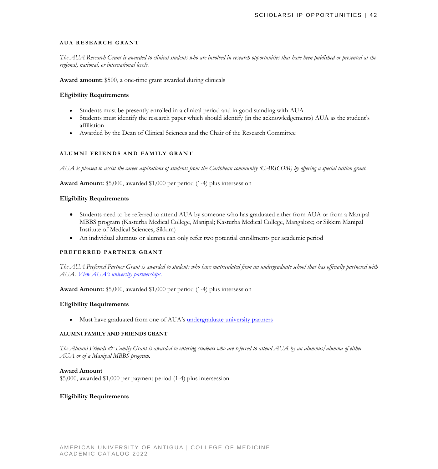#### **AUA RESEARCH GRANT**

*The AUA Research Grant is awarded to clinical students who are involved in research opportunities that have been published or presented at the regional, national, or international levels.*

**Award amount:** \$500, a one-time grant awarded during clinicals

#### **Eligibility Requirements**

- Students must be presently enrolled in a clinical period and in good standing with AUA
- Students must identify the research paper which should identify (in the acknowledgements) AUA as the student's affiliation
- Awarded by the Dean of Clinical Sciences and the Chair of the Research Committee

#### **ALUMNI FRIENDS AND FAMILY GRANT**

*AUA is pleased to assist the career aspirations of students from the Caribbean community (CARICOM) by offering a special tuition grant.*

**Award Amount:** \$5,000, awarded \$1,000 per period (1-4) plus intersession

#### **Eligibility Requirements**

- Students need to be referred to attend AUA by someone who has graduated either from AUA or from a Manipal MBBS program (Kasturba Medical College, Manipal; Kasturba Medical College, Mangalore; or Sikkim Manipal Institute of Medical Sciences, Sikkim)
- An individual alumnus or alumna can only refer two potential enrollments per academic period

#### **PREFERRED PARTNER GRANT**

*The AUA Preferred Partner Grant is awarded to students who have matriculated from an undergraduate school that has officially partnered with AUA. [View AUA's university partnerships.](https://www.auamed.org/why-aua/university-partnerships/)*

**Award Amount:** \$5,000, awarded \$1,000 per period (1-4) plus intersession

#### **Eligibility Requirements**

• Must have graduated from one of AUA's [undergraduate university partners](https://www.auamed.org/why-aua/university-partnerships/)

#### **ALUMNI FAMILY AND FRIENDS GRANT**

The Alumni Friends & Family Grant is awarded to entering students who are referred to attend AUA by an alumnus/alumna of either *AUA or of a Manipal MBBS program.*

#### **Award Amount**

\$5,000, awarded \$1,000 per payment period (1-4) plus intersession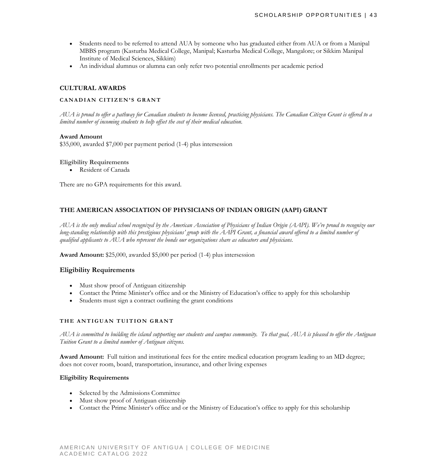- Students need to be referred to attend AUA by someone who has graduated either from AUA or from a Manipal MBBS program (Kasturba Medical College, Manipal; Kasturba Medical College, Mangalore; or Sikkim Manipal Institute of Medical Sciences, Sikkim)
- An individual alumnus or alumna can only refer two potential enrollments per academic period

#### **CULTURAL AWARDS**

#### **CANADIAN CITIZEN ' S GRANT**

AUA is proud to offer a pathway for Canadian students to become licensed, practicing physicians. The Canadian Citizen Grant is offered to a *limited number of incoming students to help offset the cost of their medical education.*

#### **Award Amount**

\$35,000, awarded \$7,000 per payment period (1-4) plus intersession

#### **Eligibility Requirements**

• Resident of Canada

There are no GPA requirements for this award.

#### **THE AMERICAN ASSOCIATION OF PHYSICIANS OF INDIAN ORIGIN (AAPI) GRANT**

*AUA is the only medical school recognized by the American Association of Physicians of Indian Origin (AAPI). We're proud to recognize our long-standing relationship with this prestigious physicians' group with the AAPI Grant, a financial award offered to a limited number of qualified applicants to AUA who represent the bonds our organizations share as educators and physicians.*

**Award Amount:** \$25,000, awarded \$5,000 per period (1-4) plus intersession

#### **Eligibility Requirements**

- Must show proof of Antiguan citizenship
- Contact the Prime Minister's office and or the Ministry of Education's office to apply for this scholarship
- Students must sign a contract outlining the grant conditions

#### **THE ANTIGUAN TUITION GRANT**

*AUA is committed to building the island supporting our students and campus community. To that goal, AUA is pleased to offer the Antiguan Tuition Grant to a limited number of Antiguan citizens.*

**Award Amount:** Full tuition and institutional fees for the entire medical education program leading to an MD degree; does not cover room, board, transportation, insurance, and other living expenses

- Selected by the Admissions Committee
- Must show proof of Antiguan citizenship
- Contact the Prime Minister's office and or the Ministry of Education's office to apply for this scholarship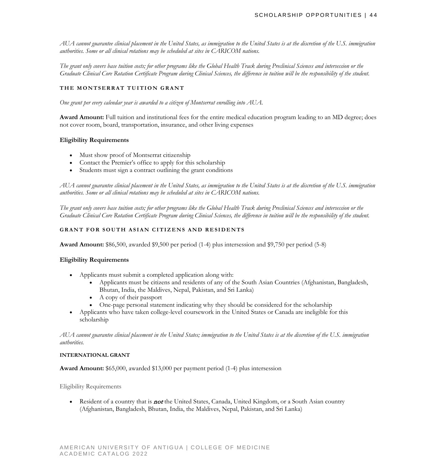*AUA cannot guarantee clinical placement in the United States, as immigration to the United States is at the discretion of the U.S. immigration authorities. Some or all clinical rotations may be scheduled at sites in CARICOM nations.*

*The grant only covers base tuition costs; for other programs like the Global Health Track during Preclinical Sciences and intersession or the Graduate Clinical Core Rotation Certificate Program during Clinical Sciences, the difference in tuition will be the responsibility of the student.* 

#### **THE MONTSERRAT TUITION GRANT**

*One grant per every calendar year is awarded to a citizen of Montserrat enrolling into AUA.*

**Award Amount:** Full tuition and institutional fees for the entire medical education program leading to an MD degree; does not cover room, board, transportation, insurance, and other living expenses

#### **Eligibility Requirements**

- Must show proof of Montserrat citizenship
- Contact the Premier's office to apply for this scholarship
- Students must sign a contract outlining the grant conditions

*AUA cannot guarantee clinical placement in the United States, as immigration to the United States is at the discretion of the U.S. immigration authorities. Some or all clinical rotations may be scheduled at sites in CARICOM nations.*

*The grant only covers base tuition costs; for other programs like the Global Health Track during Preclinical Sciences and intersession or the Graduate Clinical Core Rotation Certificate Program during Clinical Sciences, the difference in tuition will be the responsibility of the student.* 

#### **GRANT FOR SOUTH ASIAN CITIZENS AND RESIDENTS**

**Award Amount:** \$86,500, awarded \$9,500 per period (1-4) plus intersession and \$9,750 per period (5-8)

#### **Eligibility Requirements**

- Applicants must submit a completed application along with:
	- Applicants must be citizens and residents of any of the South Asian Countries (Afghanistan, Bangladesh, Bhutan, India, the Maldives, Nepal, Pakistan, and Sri Lanka)
	- A copy of their passport
	- One-page personal statement indicating why they should be considered for the scholarship
- Applicants who have taken college-level coursework in the United States or Canada are ineligible for this scholarship

*AUA cannot guarantee clinical placement in the United States; immigration to the United States is at the discretion of the U.S. immigration authorities.* 

#### **INTERNATIONAL GRANT**

**Award Amount:** \$65,000, awarded \$13,000 per payment period (1-4) plus intersession

#### Eligibility Requirements

Resident of a country that is **not** the United States, Canada, United Kingdom, or a South Asian country (Afghanistan, Bangladesh, Bhutan, India, the Maldives, Nepal, Pakistan, and Sri Lanka)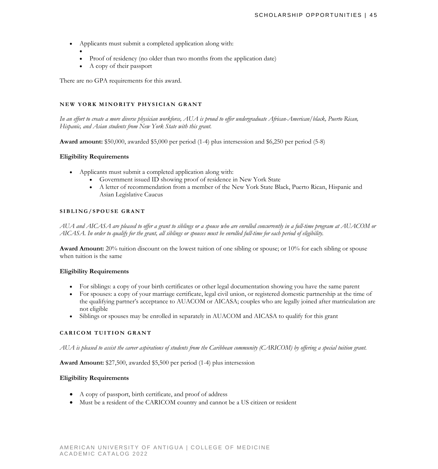- Applicants must submit a completed application along with:
	- • Proof of residency (no older than two months from the application date)
	- A copy of their passport

There are no GPA requirements for this award.

#### **NEW YORK MINORITY PHYSICIAN GRANT**

*In an effort to create a more diverse physician workforce, AUA is proud to offer undergraduate African-American/black, Puerto Rican, Hispanic, and Asian students from New York State with this grant.*

**Award amount:** \$50,000, awarded \$5,000 per period (1-4) plus intersession and \$6,250 per period (5-8)

#### **Eligibility Requirements**

- Applicants must submit a completed application along with:
	- Government issued ID showing proof of residence in New York State
	- A letter of recommendation from a member of the New York State Black, Puerto Rican, Hispanic and Asian Legislative Caucus

#### **SIBLING /SPOUSE GRANT**

*AUA and AICASA are pleased to offer a grant to siblings or a spouse who are enrolled concurrently in a full-time program at AUACOM or AICASA. In order to qualify for the grant, all siblings or spouses must be enrolled full-time for each period of eligibility.*

**Award Amount:** 20% tuition discount on the lowest tuition of one sibling or spouse; or 10% for each sibling or spouse when tuition is the same

#### **Eligibility Requirements**

- For siblings: a copy of your birth certificates or other legal documentation showing you have the same parent
- For spouses: a copy of your marriage certificate, legal civil union, or registered domestic partnership at the time of the qualifying partner's acceptance to AUACOM or AICASA; couples who are legally joined after matriculation are not eligible
- Siblings or spouses may be enrolled in separately in AUACOM and AICASA to qualify for this grant

#### **CARICOM TUITION GRAN T**

*AUA is pleased to assist the career aspirations of students from the Caribbean community (CARICOM) by offering a special tuition grant.*

**Award Amount:** \$27,500, awarded \$5,500 per period (1-4) plus intersession

- A copy of passport, birth certificate, and proof of address
- Must be a resident of the CARICOM country and cannot be a US citizen or resident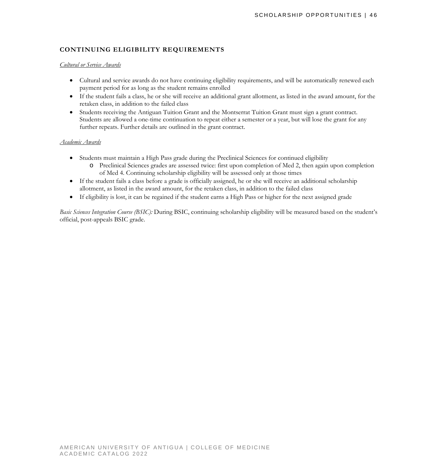# **CONTINUING ELIGIBILITY REQUIREMENTS**

#### *Cultural or Service Awards*

- Cultural and service awards do not have continuing eligibility requirements, and will be automatically renewed each payment period for as long as the student remains enrolled
- If the student fails a class, he or she will receive an additional grant allotment, as listed in the award amount, for the retaken class, in addition to the failed class
- Students receiving the Antiguan Tuition Grant and the Montserrat Tuition Grant must sign a grant contract. Students are allowed a one-time continuation to repeat either a semester or a year, but will lose the grant for any further repeats. Further details are outlined in the grant contract.

#### *Academic Awards*

- Students must maintain a High Pass grade during the Preclinical Sciences for continued eligibility
	- o Preclinical Sciences grades are assessed twice: first upon completion of Med 2, then again upon completion of Med 4. Continuing scholarship eligibility will be assessed only at those times
- If the student fails a class before a grade is officially assigned, he or she will receive an additional scholarship allotment, as listed in the award amount, for the retaken class, in addition to the failed class
- If eligibility is lost, it can be regained if the student earns a High Pass or higher for the next assigned grade

*Basic Sciences Integration Course (BSIC):* During BSIC, continuing scholarship eligibility will be measured based on the student's official, post-appeals BSIC grade.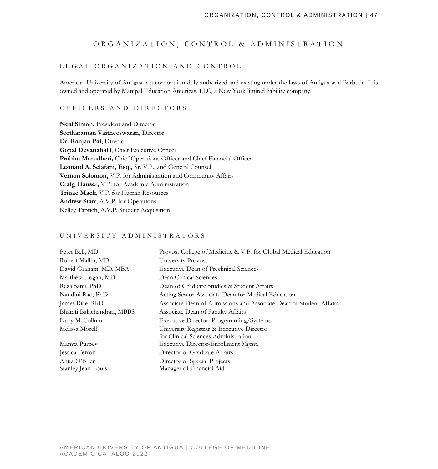#### ORGANIZATION, CONTROL & ADMINISTRATION

#### LEGAL ORGANIZATION AND CONTROL

American University of Antigua is a corporation duly authorized and existing under the laws of Antigua and Barbuda. It is owned and operated by Manipal Education Americas, LLC, a New York limited liability company.

### OFFICERS AND DIRECTORS

**Neal Simon,** President and Director **Seetharaman Vaitheeswaran,** Director **Dr. Ranjan Pai,** Director **Gopal Devanahalli**, Chief Executive Officer **Prabhu Marudheri,** Chief Operations Officer and Chief Financial Officer **Leonard A. Sclafani, Esq.,** Sr. V.P., and General Counsel **Vernon Solomon,** V.P. for Administration and Community Affairs **Craig Hauser,** V.P. for Academic Administration **Trinae Mack**, V.P. for Human Resources **Andrew Starr**, A.V.P. for Operations Kelley Taptich, A.V.P. Student Acquisition

#### UNIVERSITY ADMINISTRATORS

| Peter Bell, MD             | Provost College of Medicine & V.P. for Global Medical Education    |
|----------------------------|--------------------------------------------------------------------|
| Robert Mallin, MD          | University Provost                                                 |
| David Graham, MD, MBA      | <b>Executive Dean of Preclinical Sciences</b>                      |
| Matthew Hogan, MD          | Dean Clinical Sciences                                             |
| Reza Sanii, PhD            | Dean of Graduate Studies & Student Affairs                         |
| Nandini Rao, PhD           | Acting Senior Associate Dean for Medical Education                 |
| James Rice, RhD            | Associate Dean of Admissions and Associate Dean of Student Affairs |
| Bharati Balachandran, MBBS | Associate Dean of Faculty Affairs                                  |
| Larry McCollum             | Executive Director-Programming/Systems                             |
| Melissa Morell             | University Registrar & Executive Director                          |
|                            | for Clinical Sciences Administration                               |
| Mamta Purbey               | Executive Director-Enrollment Mgmt.                                |
| Jessica Ferron             | Director of Graduate Affairs                                       |
| Anita O'Brien              | Director of Special Projects                                       |
| Stanley Jean-Louis         | Manager of Financial Aid                                           |
|                            |                                                                    |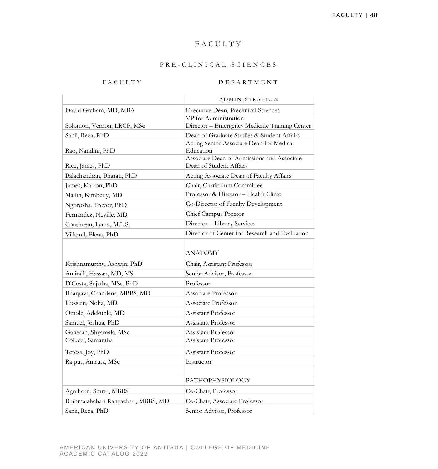# FACULTY

#### PRE - CLINICAL SCIENCES

# FACULTY DEPARTMENT

|                                     | ADMINISTRATION                                        |
|-------------------------------------|-------------------------------------------------------|
| David Graham, MD, MBA               | <b>Executive Dean, Preclinical Sciences</b>           |
|                                     | VP for Administration                                 |
| Solomon, Vernon, LRCP, MSc          | Director - Emergency Medicine Training Center         |
| Sanii, Reza, RhD                    | Dean of Graduate Studies & Student Affairs            |
|                                     | Acting Senior Associate Dean for Medical<br>Education |
| Rao, Nandini, PhD                   | Associate Dean of Admissions and Associate            |
| Rice, James, PhD                    | Dean of Student Affairs                               |
| Balachandran, Bharati, PhD          | Acting Associate Dean of Faculty Affairs              |
| James, Karron, PhD                  | Chair, Curriculum Committee                           |
| Mallin, Kimberly, MD                | Professor & Director - Health Clinic                  |
| Ngorosha, Trevor, PhD               | Co-Director of Faculty Development                    |
| Fernandez, Neville, MD              | Chief Campus Proctor                                  |
| Cousineau, Laura, M.L.S.            | Director - Library Services                           |
| Villamil, Elena, PhD                | Director of Center for Research and Evaluation        |
|                                     |                                                       |
|                                     | <b>ANATOMY</b>                                        |
| Krishnamurthy, Ashwin, PhD          | Chair, Assistant Professor                            |
| Amiralli, Hassan, MD, MS            | Senior Advisor, Professor                             |
| D'Costa, Sujatha, MSc. PhD          | Professor                                             |
| Bhargavi, Chandana, MBBS, MD        | Associate Professor                                   |
| Hussein, Noha, MD                   | Associate Professor                                   |
| Omole, Adekunle, MD                 | <b>Assistant Professor</b>                            |
| Samuel, Joshua, PhD                 | Assistant Professor                                   |
| Ganesan, Shyamala, MSc              | <b>Assistant Professor</b>                            |
| Colucci, Samantha                   | Assistant Professor                                   |
| Teresa, Joy, PhD                    | Assistant Professor                                   |
| Rajput, Amruta, MSc                 | Instructor                                            |
|                                     |                                                       |
|                                     | PATHOPHYSIOLOGY                                       |
| Agnihotri, Smriti, MBBS             | Co-Chair, Professor                                   |
| Brahmaiahchari Rangachari, MBBS, MD | Co-Chair, Associate Professor                         |
| Sanii, Reza, PhD                    | Senior Advisor, Professor                             |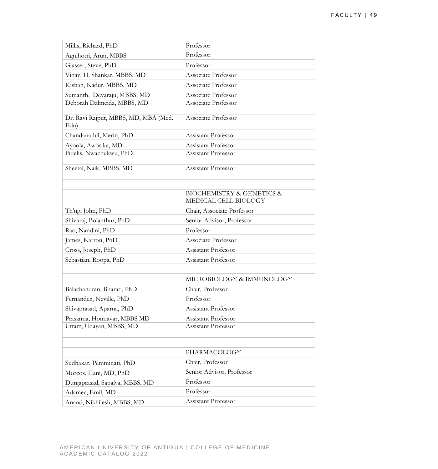| Millis, Richard, PhD                         | Professor                                                        |
|----------------------------------------------|------------------------------------------------------------------|
| Agnihotri, Arun, MBBS                        | Professor                                                        |
| Glasser, Steve, PhD                          | Professor                                                        |
| Vinay, H. Shankar, MBBS, MD                  | Associate Professor                                              |
| Kishan, Kadur, MBBS, MD                      | Associate Professor                                              |
| Sumanth, Devaraju, MBBS, MD                  | Associate Professor                                              |
| Deborah Dalmeida, MBBS, MD                   | Associate Professor                                              |
| Dr. Ravi Rajput, MBBS, MD, MBA (Med.<br>Edu) | Associate Professor                                              |
| Chandanathil, Merin, PhD                     | Assistant Professor                                              |
| Ayoola, Awosika, MD                          | <b>Assistant Professor</b>                                       |
| Fidelis, Nwachukwu, PhD                      | Assistant Professor                                              |
| Sheetal, Naik, MBBS, MD                      | <b>Assistant Professor</b>                                       |
|                                              |                                                                  |
|                                              | <b>BIOCHEMISTRY &amp; GENETICS &amp;</b><br>MEDICAL CELL BIOLOGY |
| Th'ng, John, PhD                             | Chair, Associate Professor                                       |
| Shivaraj, Bolanthur, PhD                     | Senior Advisor, Professor                                        |
| Rao, Nandini, PhD                            | Professor                                                        |
| James, Karron, PhD                           | Associate Professor                                              |
| Cross, Joseph, PhD                           | Assistant Professor                                              |
| Sebastian, Roopa, PhD                        | Assistant Professor                                              |
|                                              |                                                                  |
|                                              | MICROBIOLOGY & IMMUNOLOGY                                        |
| Balachandran, Bharati, PhD                   | Chair, Professor                                                 |
| Fernandez, Neville, PhD                      | Professor                                                        |
| Shivaprasad, Aparna, PhD                     | Assistant Professor                                              |
| Prasanna, Honnavar, MBBS MD                  | Assistant Professor                                              |
| Uttam, Udayan, MBBS, MD                      | <b>Assistant Professor</b>                                       |
|                                              |                                                                  |
|                                              | PHARMACOLOGY                                                     |
| Sudhakar, Pemminati, PhD                     | Chair, Professor                                                 |
| Morcos, Hani, MD, PhD                        | Senior Advisor, Professor                                        |
| Durgaprasad, Sapalya, MBBS, MD               | Professor                                                        |
| Adamec, Emil, MD                             | Professor                                                        |
| Anand, Nikhilesh, MBBS, MD                   | Assistant Professor                                              |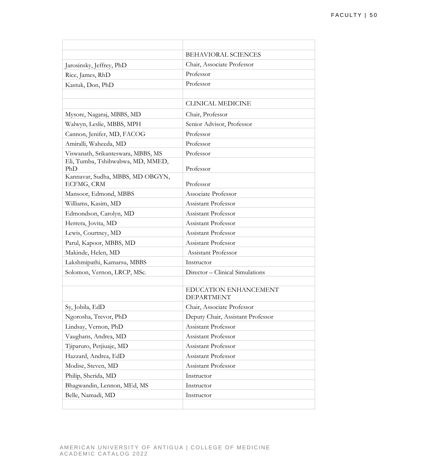|                                                | <b>BEHAVIORAL SCIENCES</b>                 |
|------------------------------------------------|--------------------------------------------|
| Jarosinsky, Jeffrey, PhD                       | Chair, Associate Professor                 |
| Rice, James, RhD                               | Professor                                  |
| Kastuk, Don, PhD                               | Professor                                  |
|                                                |                                            |
|                                                | <b>CLINICAL MEDICINE</b>                   |
| Mysore, Nagaraj, MBBS, MD                      | Chair, Professor                           |
| Walwyn, Leslie, MBBS, MPH                      | Senior Advisor, Professor                  |
| Cannon, Jenifer, MD, FACOG                     | Professor                                  |
| Amiralli, Waheeda, MD                          | Professor                                  |
| Viswanath, Srikanteswara, MBBS, MS             | Professor                                  |
| Eli, Tumba, Tshibwabwa, MD, MMED,<br>PhD       | Professor                                  |
| Kannavar, Sudha, MBBS, MD OBGYN,<br>ECFMG, CRM | Professor                                  |
| Mansoor, Edmond, MBBS                          | Associate Professor                        |
| Williams, Kasim, MD                            | <b>Assistant Professor</b>                 |
| Edmondson, Carolyn, MD                         | <b>Assistant Professor</b>                 |
| Herrera, Jovita, MD                            | Assistant Professor                        |
| Lewis, Courtney, MD                            | <b>Assistant Professor</b>                 |
| Parul, Kapoor, MBBS, MD                        | Assistant Professor                        |
| Makinde, Helen, MD                             | <b>Assistant Professor</b>                 |
| Lakshmipathi, Kamarsu, MBBS                    | Instructor                                 |
| Solomon, Vernon, LRCP, MSc.                    | Director – Clinical Simulations            |
|                                                |                                            |
|                                                | EDUCATION ENHANCEMENT<br><b>DEPARTMENT</b> |
| Sy, Jobila, EdD                                | Chair, Associate Professor                 |
| Ngorosha, Trevor, PhD                          | Deputy Chair, Assistant Professor          |
| Lindsay, Vernon, PhD                           | Assistant Professor                        |
| Vaughans, Andrea, MD                           | Assistant Professor                        |
| Tiiparuro, Petjiuaje, MD                       | Assistant Professor                        |
| Hazzard, Andrea, EdD                           | Assistant Professor                        |
| Modise, Steven, MD                             | Assistant Professor                        |
| Philip, Sherida, MD                            | Instructor                                 |
| Bhagwandin, Lennon, MEd, MS                    | Instructor                                 |
| Belle, Namadi, MD                              | Instructor                                 |
|                                                |                                            |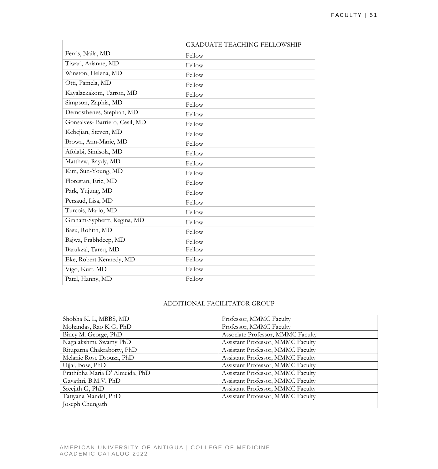|                               | <b>GRADUATE TEACHING FELLOWSHIP</b> |
|-------------------------------|-------------------------------------|
| Ferris, Naila, MD             | Fellow                              |
| Tiwari, Arianne, MD           | Fellow                              |
| Winston, Helena, MD           | Fellow                              |
| Otti, Pamela, MD              | Fellow                              |
| Kayalackakom, Tarron, MD      | Fellow                              |
| Simpson, Zaphia, MD           | Fellow                              |
| Demosthenes, Stephan, MD      | Fellow                              |
| Gonsalves-Barriero, Cesil, MD | Fellow                              |
| Kebejian, Steven, MD          | Fellow                              |
| Brown, Ann-Marie, MD          | Fellow                              |
| Afolabi, Simisola, MD         | Fellow                              |
| Matthew, Raydy, MD            | Fellow                              |
| Kim, Sun-Young, MD            | Fellow                              |
| Florestan, Eric, MD           | Fellow                              |
| Park, Yujung, MD              | Fellow                              |
| Persaud, Lisa, MD             | Fellow                              |
| Turcois, Mario, MD            | Fellow                              |
| Graham-Syphertt, Regina, MD   | Fellow                              |
| Basu, Rohith, MD              | Fellow                              |
| Bajwa, Prabhdeep, MD          | Fellow                              |
| Barukzai, Tareq, MD           | Fellow                              |
| Eke, Robert Kennedy, MD       | Fellow                              |
| Vigo, Kurt, MD                | Fellow                              |
| Patel, Hanny, MD              | Fellow                              |

#### ADDITIONAL FACILITATOR GROUP

| Shobha K. L, MBBS, MD           | Professor, MMMC Faculty           |
|---------------------------------|-----------------------------------|
| Mohandas, Rao K G, PhD          | Professor, MMMC Faculty           |
| Bincy M. George, PhD            | Associate Professor, MMMC Faculty |
| Nagalakshmi, Swamy PhD          | Assistant Professor, MMMC Faculty |
| Rituparna Chakraborty, PhD      | Assistant Professor, MMMC Faculty |
| Melanie Rose Dsouza, PhD        | Assistant Professor, MMMC Faculty |
| Ujjal, Bose, PhD                | Assistant Professor, MMMC Faculty |
| Prathibha Maria D' Almeida, PhD | Assistant Professor, MMMC Faculty |
| Gayathri, B.M.V, PhD            | Assistant Professor, MMMC Faculty |
| Sreejith G, PhD                 | Assistant Professor, MMMC Faculty |
| Tatiyana Mandal, PhD            | Assistant Professor, MMMC Faculty |
| Joseph Chungath                 |                                   |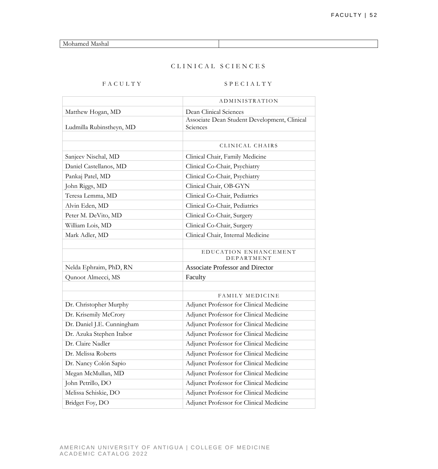Mohamed Mashal

# CLINICAL SCIENCES

# FACULTY SPECIALTY

|                            | ADMINISTRATION                               |
|----------------------------|----------------------------------------------|
| Matthew Hogan, MD          | Dean Clinical Sciences                       |
|                            | Associate Dean Student Development, Clinical |
| Ludmilla Rubinstheyn, MD   | Sciences                                     |
|                            |                                              |
|                            | CLINICAL CHAIRS                              |
| Sanjeev Nischal, MD        | Clinical Chair, Family Medicine              |
| Daniel Castellanos, MD     | Clinical Co-Chair, Psychiatry                |
| Pankaj Patel, MD           | Clinical Co-Chair, Psychiatry                |
| John Riggs, MD             | Clinical Chair, OB-GYN                       |
| Teresa Lemma, MD           | Clinical Co-Chair, Pediatrics                |
| Alvin Eden, MD             | Clinical Co-Chair, Pediatrics                |
| Peter M. DeVito, MD        | Clinical Co-Chair, Surgery                   |
| William Lois, MD           | Clinical Co-Chair, Surgery                   |
| Mark Adler, MD             | Clinical Chair, Internal Medicine            |
|                            |                                              |
|                            | EDUCATION ENHANCEMENT<br>DEPARTMENT          |
| Nelda Ephraim, PhD, RN     | <b>Associate Professor and Director</b>      |
| Qunoot Almecci, MS         | Faculty                                      |
|                            |                                              |
|                            | <b>FAMILY MEDICINE</b>                       |
| Dr. Christopher Murphy     | Adjunct Professor for Clinical Medicine      |
| Dr. Krisemily McCrory      | Adjunct Professor for Clinical Medicine      |
| Dr. Daniel J.E. Cunningham | Adjunct Professor for Clinical Medicine      |
| Dr. Azuka Stephen Itabor   | Adjunct Professor for Clinical Medicine      |
| Dr. Claire Nadler          | Adjunct Professor for Clinical Medicine      |
| Dr. Melissa Roberts        | Adjunct Professor for Clinical Medicine      |
| Dr. Nancy Colón Sapio      | Adjunct Professor for Clinical Medicine      |
| Megan McMullan, MD         | Adjunct Professor for Clinical Medicine      |
| John Petrillo, DO          | Adjunct Professor for Clinical Medicine      |
| Melissa Schiskie, DO       | Adjunct Professor for Clinical Medicine      |
| Bridget Foy, DO            | Adjunct Professor for Clinical Medicine      |
|                            |                                              |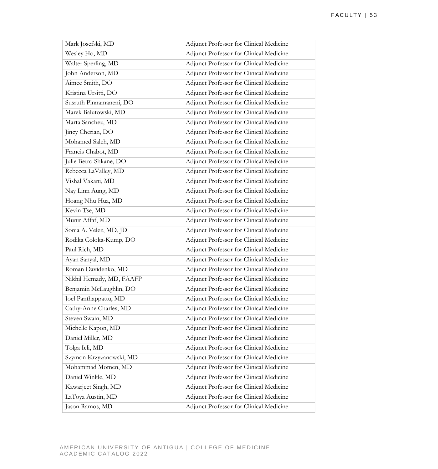| Mark Josefski, MD        | Adjunct Professor for Clinical Medicine        |
|--------------------------|------------------------------------------------|
| Wesley Ho, MD            | Adjunct Professor for Clinical Medicine        |
| Walter Sperling, MD      | Adjunct Professor for Clinical Medicine        |
| John Anderson, MD        | Adjunct Professor for Clinical Medicine        |
| Aimee Smith, DO          | Adjunct Professor for Clinical Medicine        |
| Kristina Ursitti, DO     | Adjunct Professor for Clinical Medicine        |
| Susruth Pinnamaneni, DO  | Adjunct Professor for Clinical Medicine        |
| Marek Balutowski, MD     | Adjunct Professor for Clinical Medicine        |
| Marta Sanchez, MD        | Adjunct Professor for Clinical Medicine        |
| Jincy Cherian, DO        | Adjunct Professor for Clinical Medicine        |
| Mohamed Saleh, MD        | Adjunct Professor for Clinical Medicine        |
| Francis Chabot, MD       | Adjunct Professor for Clinical Medicine        |
| Julie Betro Shkane, DO   | Adjunct Professor for Clinical Medicine        |
| Rebecca LaValley, MD     | Adjunct Professor for Clinical Medicine        |
| Vishal Vakani, MD        | Adjunct Professor for Clinical Medicine        |
| Nay Linn Aung, MD        | Adjunct Professor for Clinical Medicine        |
| Hoang Nhu Hua, MD        | Adjunct Professor for Clinical Medicine        |
| Kevin Tse, MD            | Adjunct Professor for Clinical Medicine        |
| Munir Affaf, MD          | Adjunct Professor for Clinical Medicine        |
| Sonia A. Velez, MD, JD   | Adjunct Professor for Clinical Medicine        |
| Rodika Coloka-Kump, DO   | Adjunct Professor for Clinical Medicine        |
| Paul Rich, MD            | Adjunct Professor for Clinical Medicine        |
| Ayan Sanyal, MD          | Adjunct Professor for Clinical Medicine        |
| Roman Davidenko, MD      | Adjunct Professor for Clinical Medicine        |
| Nikhil Hemady, MD, FAAFP | Adjunct Professor for Clinical Medicine        |
| Benjamin McLaughlin, DO  | <b>Adjunct Professor for Clinical Medicine</b> |
| Joel Panthappattu, MD    | Adjunct Professor for Clinical Medicine        |
| Cathy-Anne Charles, MD   | Adjunct Professor for Clinical Medicine        |
| Steven Swain, MD         | Adjunct Professor for Clinical Medicine        |
| Michelle Kapon, MD       | Adjunct Professor for Clinical Medicine        |
| Daniel Miller, MD        | Adjunct Professor for Clinical Medicine        |
| Tolga Icli, MD           | Adjunct Professor for Clinical Medicine        |
| Szymon Krzyzanowski, MD  | Adjunct Professor for Clinical Medicine        |
| Mohammad Momen, MD       | Adjunct Professor for Clinical Medicine        |
| Daniel Winkle, MD        | Adjunct Professor for Clinical Medicine        |
| Kawarjeet Singh, MD      | Adjunct Professor for Clinical Medicine        |
| LaToya Austin, MD        | Adjunct Professor for Clinical Medicine        |
| Jason Ramos, MD          | Adjunct Professor for Clinical Medicine        |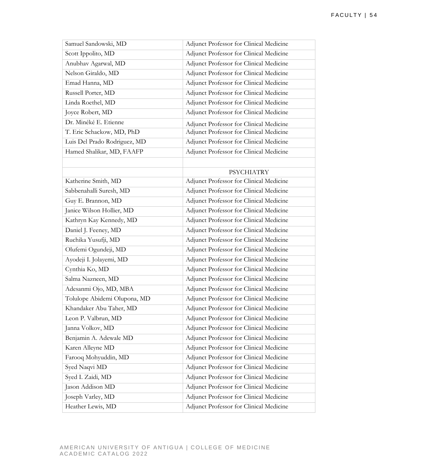| Samuel Sandowski, MD         | Adjunct Professor for Clinical Medicine |
|------------------------------|-----------------------------------------|
| Scott Ippolito, MD           | Adjunct Professor for Clinical Medicine |
| Anubhav Agarwal, MD          | Adjunct Professor for Clinical Medicine |
| Nelson Giraldo, MD           | Adjunct Professor for Clinical Medicine |
| Emad Hanna, MD               | Adjunct Professor for Clinical Medicine |
| Russell Porter, MD           | Adjunct Professor for Clinical Medicine |
| Linda Roethel, MD            | Adjunct Professor for Clinical Medicine |
| Joyce Robert, MD             | Adjunct Professor for Clinical Medicine |
| Dr. Minéké E. Etienne        | Adjunct Professor for Clinical Medicine |
| T. Eric Schackow, MD, PhD    | Adjunct Professor for Clinical Medicine |
| Luis Del Prado Rodriguez, MD | Adjunct Professor for Clinical Medicine |
| Hamed Shalikar, MD, FAAFP    | Adjunct Professor for Clinical Medicine |
|                              |                                         |
|                              | <b>PSYCHIATRY</b>                       |
| Katherine Smith, MD          | Adjunct Professor for Clinical Medicine |
| Sabbenahalli Suresh, MD      | Adjunct Professor for Clinical Medicine |
| Guy E. Brannon, MD           | Adjunct Professor for Clinical Medicine |
| Janice Wilson Hollier, MD    | Adjunct Professor for Clinical Medicine |
| Kathryn Kay Kennedy, MD      | Adjunct Professor for Clinical Medicine |
| Daniel J. Feeney, MD         | Adjunct Professor for Clinical Medicine |
| Ruchika Yusufji, MD          | Adjunct Professor for Clinical Medicine |
| Olufemi Ogundeji, MD         | Adjunct Professor for Clinical Medicine |
| Ayodeji I. Jolayemi, MD      | Adjunct Professor for Clinical Medicine |
| Cynthia Ko, MD               | Adjunct Professor for Clinical Medicine |
| Salma Nazneen, MD            | Adjunct Professor for Clinical Medicine |
| Adesanmi Ojo, MD, MBA        | Adjunct Professor for Clinical Medicine |
| Tolulope Abidemi Olupona, MD | Adjunct Professor for Clinical Medicine |
| Khandaker Abu Taher, MD      | Adjunct Professor for Clinical Medicine |
| Leon P. Valbrun, MD          | Adjunct Professor for Clinical Medicine |
| Janna Volkov, MD             | Adjunct Professor for Clinical Medicine |
| Benjamin A. Adewale MD       | Adjunct Professor for Clinical Medicine |
| Karen Alleyne MD             | Adjunct Professor for Clinical Medicine |
| Farooq Mohyuddin, MD         | Adjunct Professor for Clinical Medicine |
| Syed Naqvi MD                | Adjunct Professor for Clinical Medicine |
| Syed I. Zaidi, MD            | Adjunct Professor for Clinical Medicine |
| Jason Addison MD             | Adjunct Professor for Clinical Medicine |
| Joseph Varley, MD            | Adjunct Professor for Clinical Medicine |
| Heather Lewis, MD            | Adjunct Professor for Clinical Medicine |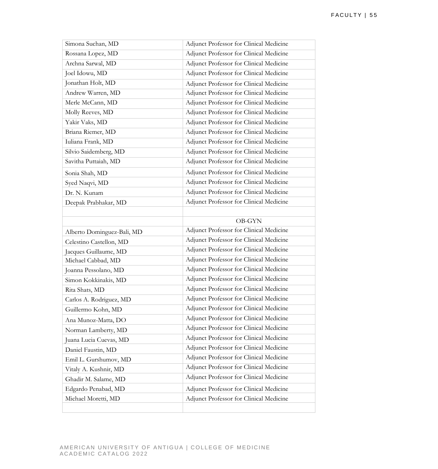| Simona Suchan, MD          | Adjunct Professor for Clinical Medicine |
|----------------------------|-----------------------------------------|
| Rossana Lopez, MD          | Adjunct Professor for Clinical Medicine |
| Archna Sarwal, MD          | Adjunct Professor for Clinical Medicine |
| Joel Idowu, MD             | Adjunct Professor for Clinical Medicine |
| Jonathan Holt, MD          | Adjunct Professor for Clinical Medicine |
| Andrew Warren, MD          | Adjunct Professor for Clinical Medicine |
| Merle McCann, MD           | Adjunct Professor for Clinical Medicine |
| Molly Reeves, MD           | Adjunct Professor for Clinical Medicine |
| Yakir Vaks, MD             | Adjunct Professor for Clinical Medicine |
| Briana Riemer, MD          | Adjunct Professor for Clinical Medicine |
| Iuliana Frank, MD          | Adjunct Professor for Clinical Medicine |
| Silvio Saidemberg, MD      | Adjunct Professor for Clinical Medicine |
| Savitha Puttaiah, MD       | Adjunct Professor for Clinical Medicine |
| Sonia Shah, MD             | Adjunct Professor for Clinical Medicine |
| Syed Naqvi, MD             | Adjunct Professor for Clinical Medicine |
| Dr. N. Kunam               | Adjunct Professor for Clinical Medicine |
| Deepak Prabhakar, MD       | Adjunct Professor for Clinical Medicine |
|                            |                                         |
|                            | <b>OB-GYN</b>                           |
|                            |                                         |
| Alberto Dominguez-Bali, MD | Adjunct Professor for Clinical Medicine |
| Celestino Castellon, MD    | Adjunct Professor for Clinical Medicine |
| Jacques Guillaume, MD      | Adjunct Professor for Clinical Medicine |
| Michael Cabbad, MD         | Adjunct Professor for Clinical Medicine |
| Joanna Pessolano, MD       | Adjunct Professor for Clinical Medicine |
| Simon Kokkinakis, MD       | Adjunct Professor for Clinical Medicine |
| Rita Shats, MD             | Adjunct Professor for Clinical Medicine |
| Carlos A. Rodriguez, MD    | Adjunct Professor for Clinical Medicine |
| Guillermo Kohn, MD         | Adjunct Professor for Clinical Medicine |
| Ana Munoz-Matta, DO        | Adjunct Professor for Clinical Medicine |
| Norman Lamberty, MD        | Adjunct Professor for Clinical Medicine |
| Juana Lucia Cuevas, MD     | Adjunct Professor for Clinical Medicine |
| Daniel Faustin, MD         | Adjunct Professor for Clinical Medicine |
| Emil L. Gurshumov, MD      | Adjunct Professor for Clinical Medicine |
| Vitaly A. Kushnir, MD      | Adjunct Professor for Clinical Medicine |
| Ghadir M. Salame, MD       | Adjunct Professor for Clinical Medicine |
| Edgardo Penabad, MD        | Adjunct Professor for Clinical Medicine |
| Michael Moretti, MD        | Adjunct Professor for Clinical Medicine |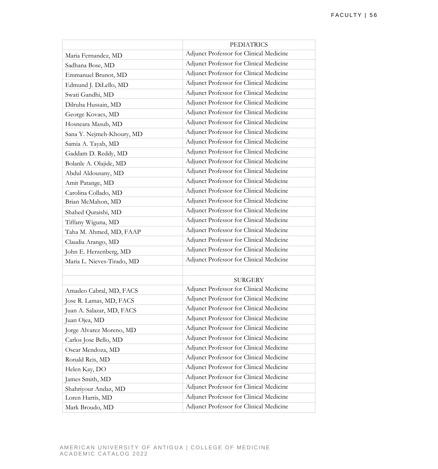|                            | <b>PEDIATRICS</b>                       |
|----------------------------|-----------------------------------------|
| Maria Fernandez, MD        | Adjunct Professor for Clinical Medicine |
| Sadhana Bose, MD           | Adjunct Professor for Clinical Medicine |
| Emmanuel Brunot, MD        | Adjunct Professor for Clinical Medicine |
| Edmund J. DiLello, MD      | Adjunct Professor for Clinical Medicine |
| Swati Gandhi, MD           | Adjunct Professor for Clinical Medicine |
| Dilruba Hussain, MD        | Adjunct Professor for Clinical Medicine |
| George Kovacs, MD          | Adjunct Professor for Clinical Medicine |
| Hosneara Masub, MD         | Adjunct Professor for Clinical Medicine |
| Sana Y. Nejmeh-Khoury, MD  | Adjunct Professor for Clinical Medicine |
| Samia A. Tayab, MD         | Adjunct Professor for Clinical Medicine |
| Gaddam D. Reddy, MD        | Adjunct Professor for Clinical Medicine |
| Bolanle A. Olajide, MD     | Adjunct Professor for Clinical Medicine |
| Abdul Aldousany, MD        | Adjunct Professor for Clinical Medicine |
| Amit Patange, MD           | Adjunct Professor for Clinical Medicine |
| Carolina Collado, MD       | Adjunct Professor for Clinical Medicine |
| Brian McMahon, MD          | Adjunct Professor for Clinical Medicine |
| Shahed Quraishi, MD        | Adjunct Professor for Clinical Medicine |
| Tiffany Wiguna, MD         | Adjunct Professor for Clinical Medicine |
| Taha M. Ahmed, MD, FAAP    | Adjunct Professor for Clinical Medicine |
| Claudia Arango, MD         | Adjunct Professor for Clinical Medicine |
| John E. Herzenberg, MD     | Adjunct Professor for Clinical Medicine |
| Maria L. Nieves-Tirado, MD | Adjunct Professor for Clinical Medicine |
|                            |                                         |
|                            | <b>SURGERY</b>                          |
| Amadeo Cabral, MD, FACS    | Adjunct Professor for Clinical Medicine |
| Jose R. Lamas, MD, FACS    | Adjunct Professor for Clinical Medicine |
| Juan A. Salazar, MD, FACS  | Adjunct Professor for Clinical Medicine |
| Juan Ojea, MD              | Adjunct Professor for Clinical Medicine |
| Jorge Alvarez Moreno, MD   | Adjunct Professor for Clinical Medicine |
| Carlos Jose Bello, MD      | Adjunct Professor for Clinical Medicine |
| Oscar Mendoza, MD          | Adjunct Professor for Clinical Medicine |
| Ronald Reis, MD            | Adjunct Professor for Clinical Medicine |
| Helen Kay, DO              | Adjunct Professor for Clinical Medicine |
| James Smith, MD            | Adjunct Professor for Clinical Medicine |
| Shahriyour Andaz, MD       | Adjunct Professor for Clinical Medicine |
| Loren Harris, MD           | Adjunct Professor for Clinical Medicine |
| Mark Broudo, MD            | Adjunct Professor for Clinical Medicine |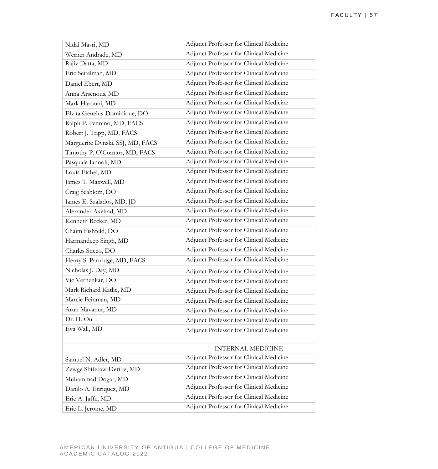| Nidal Masri, MD                  | Adjunct Professor for Clinical Medicine |
|----------------------------------|-----------------------------------------|
| Werner Andrade, MD               | Adjunct Professor for Clinical Medicine |
| Rajiv Datta, MD                  | Adjunct Professor for Clinical Medicine |
| Eric Seitelman, MD               | Adjunct Professor for Clinical Medicine |
| Daniel Ebert, MD                 | Adjunct Professor for Clinical Medicine |
| Anna Arsenous, MD                | Adjunct Professor for Clinical Medicine |
| Mark Harooni, MD                 | Adjunct Professor for Clinical Medicine |
| Elvita Genelus-Dominique, DO     | Adjunct Professor for Clinical Medicine |
| Ralph P. Pennino, MD, FACS       | Adjunct Professor for Clinical Medicine |
| Robert J. Tripp, MD, FACS        | Adjunct Professor for Clinical Medicine |
| Marguerite Dynski, SSJ, MD, FACS | Adjunct Professor for Clinical Medicine |
| Timothy P. O'Connor, MD, FACS    | Adjunct Professor for Clinical Medicine |
| Pasquale Iannoli, MD             | Adjunct Professor for Clinical Medicine |
| Louis Eichel, MD                 | Adjunct Professor for Clinical Medicine |
| James T. Maxwell, MD             | Adjunct Professor for Clinical Medicine |
| Craig Seablom, DO                | Adjunct Professor for Clinical Medicine |
| James E. Szalados, MD, JD        | Adjunct Professor for Clinical Medicine |
| Alexander Axelrad, MD            | Adjunct Professor for Clinical Medicine |
| Kenneth Becker, MD               | Adjunct Professor for Clinical Medicine |
| Chaim Fishfeld, DO               | Adjunct Professor for Clinical Medicine |
| Harmandeep Singh, MD             | Adjunct Professor for Clinical Medicine |
| Charles Sticco, DO               | Adjunct Professor for Clinical Medicine |
| Henry S. Partridge, MD, FACS     | Adjunct Professor for Clinical Medicine |
| Nicholas J. Day, MD              | Adjunct Professor for Clinical Medicine |
| Vic Vernenkar, DO                | Adjunct Professor for Clinical Medicine |
| Mark Richard Katlic, MD          | Adjunct Professor for Clinical Medicine |
| Marcie Feinman, MD               | Adjunct Professor for Clinical Medicine |
| Arun Mavanur, MD                 | Adjunct Professor for Clinical Medicine |
| Dr. H. Ou                        | Adjunct Professor for Clinical Medicine |
| Eva Wall, MD                     | Adjunct Professor for Clinical Medicine |
|                                  |                                         |
|                                  | <b>INTERNAL MEDICINE</b>                |
| Samuel N. Adler, MD              | Adjunct Professor for Clinical Medicine |
| Zewge Shiferaw-Deribe, MD        | Adjunct Professor for Clinical Medicine |
| Muhammad Dogar, MD               | Adjunct Professor for Clinical Medicine |
| Danilo A. Enriquez, MD           | Adjunct Professor for Clinical Medicine |
| Eric A. Jaffe, MD                | Adjunct Professor for Clinical Medicine |
| Eric L. Jerome, MD               | Adjunct Professor for Clinical Medicine |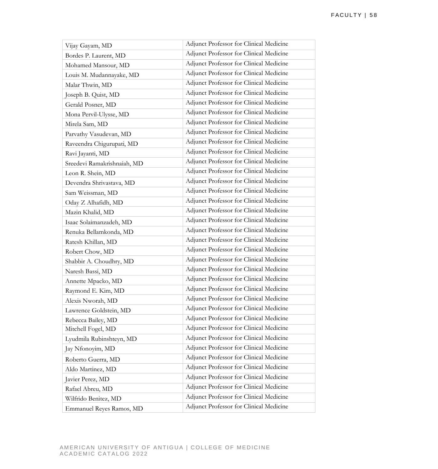| Vijay Gayam, MD             | Adjunct Professor for Clinical Medicine |
|-----------------------------|-----------------------------------------|
| Bordes P. Laurent, MD       | Adjunct Professor for Clinical Medicine |
| Mohamed Mansour, MD         | Adjunct Professor for Clinical Medicine |
| Louis M. Mudannayake, MD    | Adjunct Professor for Clinical Medicine |
| Malar Thwin, MD             | Adjunct Professor for Clinical Medicine |
| Joseph B. Quist, MD         | Adjunct Professor for Clinical Medicine |
| Gerald Posner, MD           | Adjunct Professor for Clinical Medicine |
| Mona Pervil-Ulysse, MD      | Adjunct Professor for Clinical Medicine |
| Mirela Sam, MD              | Adjunct Professor for Clinical Medicine |
| Parvathy Vasudevan, MD      | Adjunct Professor for Clinical Medicine |
| Raveendra Chigurupati, MD   | Adjunct Professor for Clinical Medicine |
| Ravi Jayanti, MD            | Adjunct Professor for Clinical Medicine |
| Sreedevi Ramakrishnaiah, MD | Adjunct Professor for Clinical Medicine |
| Leon R. Shein, MD           | Adjunct Professor for Clinical Medicine |
| Devendra Shrivastava, MD    | Adjunct Professor for Clinical Medicine |
| Sam Weissman, MD            | Adjunct Professor for Clinical Medicine |
| Oday Z Alhafidh, MD         | Adjunct Professor for Clinical Medicine |
| Mazin Khalid, MD            | Adjunct Professor for Clinical Medicine |
| Isaac Solaimanzadeh, MD     | Adjunct Professor for Clinical Medicine |
| Renuka Bellamkonda, MD      | Adjunct Professor for Clinical Medicine |
| Ratesh Khillan, MD          | Adjunct Professor for Clinical Medicine |
| Robert Chow, MD             | Adjunct Professor for Clinical Medicine |
| Shabbir A. Choudhry, MD     | Adjunct Professor for Clinical Medicine |
| Naresh Bassi, MD            | Adjunct Professor for Clinical Medicine |
| Annette Mpacko, MD          | Adjunct Professor for Clinical Medicine |
| Raymond E. Kim, MD          | Adjunct Professor for Clinical Medicine |
| Alexis Nworah, MD           | Adjunct Professor for Clinical Medicine |
| Lawrence Goldstein, MD      | Adjunct Professor for Clinical Medicine |
| Rebecca Bailey, MD          | Adjunct Professor for Clinical Medicine |
| Mitchell Fogel, MD          | Adjunct Professor for Clinical Medicine |
| Lyudmila Rubinshteyn, MD    | Adjunct Professor for Clinical Medicine |
| Jay Nfonoyim, MD            | Adjunct Professor for Clinical Medicine |
| Roberto Guerra, MD          | Adjunct Professor for Clinical Medicine |
| Aldo Martinez, MD           | Adjunct Professor for Clinical Medicine |
| Javier Perez, MD            | Adjunct Professor for Clinical Medicine |
| Rafael Abreu, MD            | Adjunct Professor for Clinical Medicine |
| Wilfrido Benitez, MD        | Adjunct Professor for Clinical Medicine |
| Emmanuel Reyes Ramos, MD    | Adjunct Professor for Clinical Medicine |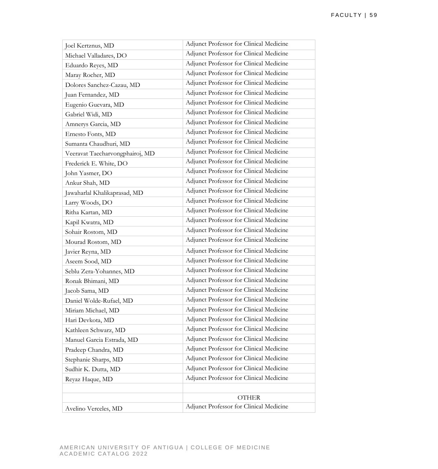| Joel Kertznus, MD               | Adjunct Professor for Clinical Medicine |
|---------------------------------|-----------------------------------------|
| Michael Valladares, DO          | Adjunct Professor for Clinical Medicine |
| Eduardo Reyes, MD               | Adjunct Professor for Clinical Medicine |
| Maray Rocher, MD                | Adjunct Professor for Clinical Medicine |
| Dolores Sanchez-Cazau, MD       | Adjunct Professor for Clinical Medicine |
| Juan Fernandez, MD              | Adjunct Professor for Clinical Medicine |
| Eugenio Guevara, MD             | Adjunct Professor for Clinical Medicine |
| Gabriel Widi, MD                | Adjunct Professor for Clinical Medicine |
| Amnerys Garcia, MD              | Adjunct Professor for Clinical Medicine |
| Ernesto Fonts, MD               | Adjunct Professor for Clinical Medicine |
| Sumanta Chaudhuri, MD           | Adjunct Professor for Clinical Medicine |
| Veeravat Taecharvongphairoj, MD | Adjunct Professor for Clinical Medicine |
| Frederick E. White, DO          | Adjunct Professor for Clinical Medicine |
| John Yasmer, DO                 | Adjunct Professor for Clinical Medicine |
| Ankur Shah, MD                  | Adjunct Professor for Clinical Medicine |
| Jawaharlal Khalikaprasad, MD    | Adjunct Professor for Clinical Medicine |
| Larry Woods, DO                 | Adjunct Professor for Clinical Medicine |
| Ritha Kartan, MD                | Adjunct Professor for Clinical Medicine |
| Kapil Kwatra, MD                | Adjunct Professor for Clinical Medicine |
| Sohair Rostom, MD               | Adjunct Professor for Clinical Medicine |
| Mourad Rostom, MD               | Adjunct Professor for Clinical Medicine |
| Javier Reyna, MD                | Adjunct Professor for Clinical Medicine |
| Aseem Sood, MD                  | Adjunct Professor for Clinical Medicine |
| Seblu Zera-Yohannes, MD         | Adjunct Professor for Clinical Medicine |
| Ronak Bhimani, MD               | Adjunct Professor for Clinical Medicine |
| Jacob Sama, MD                  | Adjunct Professor for Clinical Medicine |
| Daniel Wolde-Rufael, MD         | Adjunct Professor for Clinical Medicine |
| Miriam Michael, MD              | Adjunct Professor for Clinical Medicine |
| Hari Devkota, MD                | Adjunct Professor for Clinical Medicine |
| Kathleen Schwarz, MD            | Adjunct Professor for Clinical Medicine |
| Manuel Garcia Estrada, MD       | Adjunct Professor for Clinical Medicine |
| Pradeep Chandra, MD             | Adjunct Professor for Clinical Medicine |
| Stephanie Sharps, MD            | Adjunct Professor for Clinical Medicine |
| Sudhir K. Dutta, MD             | Adjunct Professor for Clinical Medicine |
| Reyaz Haque, MD                 | Adjunct Professor for Clinical Medicine |
|                                 |                                         |
|                                 | <b>OTHER</b>                            |
| Avelino Verceles, MD            | Adjunct Professor for Clinical Medicine |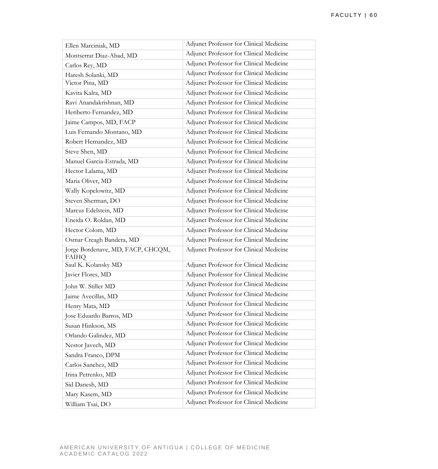| Ellen Marciniak, MD                               | Adjunct Professor for Clinical Medicine |
|---------------------------------------------------|-----------------------------------------|
| Montserrat Diaz-Abad, MD                          | Adjunct Professor for Clinical Medicine |
| Carlos Rey, MD                                    | Adjunct Professor for Clinical Medicine |
| Haresh Solanki, MD                                | Adjunct Professor for Clinical Medicine |
| Victor Pina, MD                                   | Adjunct Professor for Clinical Medicine |
| Kavita Kalra, MD                                  | Adjunct Professor for Clinical Medicine |
| Ravi Anandakrishnan, MD                           | Adjunct Professor for Clinical Medicine |
| Heriberto Fernandez, MD                           | Adjunct Professor for Clinical Medicine |
| Jaime Campos, MD, FACP                            | Adjunct Professor for Clinical Medicine |
| Luis Fernando Montano, MD                         | Adjunct Professor for Clinical Medicine |
| Robert Hernandez, MD                              | Adjunct Professor for Clinical Medicine |
| Steve Shen, MD                                    | Adjunct Professor for Clinical Medicine |
| Manuel Garcia-Estrada, MD                         | Adjunct Professor for Clinical Medicine |
| Hector Lalama, MD                                 | Adjunct Professor for Clinical Medicine |
| Maria Oliver, MD                                  | Adjunct Professor for Clinical Medicine |
| Wally Kopelowitz, MD                              | Adjunct Professor for Clinical Medicine |
| Steven Sherman, DO                                | Adjunct Professor for Clinical Medicine |
| Marcus Edelstein, MD                              | Adjunct Professor for Clinical Medicine |
| Eneida O. Roldan, MD                              | Adjunct Professor for Clinical Medicine |
| Hector Colom, MD                                  | Adjunct Professor for Clinical Medicine |
| Osmar Creagh Bandera, MD                          | Adjunct Professor for Clinical Medicine |
| Jorge Bordenave, MD, FACP, CHCQM,<br><b>FAIHQ</b> | Adjunct Professor for Clinical Medicine |
| Saul K. Kolansky MD                               | Adjunct Professor for Clinical Medicine |
| Javier Flores, MD                                 | Adjunct Professor for Clinical Medicine |
| John W. Stiller MD                                | Adjunct Professor for Clinical Medicine |
| Jaime Avecillas, MD                               | Adjunct Professor for Clinical Medicine |
| Henry Mata, MD                                    | Adjunct Professor for Clinical Medicine |
| Jose Eduardo Barros, MD                           | Adjunct Professor for Clinical Medicine |
| Susan Hinkson, MS                                 | Adjunct Professor for Clinical Medicine |
| Orlando Galindez, MD                              | Adjunct Professor for Clinical Medicine |
| Nestor Javech, MD                                 | Adjunct Professor for Clinical Medicine |
| Sandra Franco, DPM                                | Adjunct Professor for Clinical Medicine |
| Carlos Sanchez, MD                                | Adjunct Professor for Clinical Medicine |
| Irina Petrenko, MD                                | Adjunct Professor for Clinical Medicine |
| Sid Danesh, MD                                    | Adjunct Professor for Clinical Medicine |
| Mary Kasem, MD                                    | Adjunct Professor for Clinical Medicine |
| William Tsai, DO                                  | Adjunct Professor for Clinical Medicine |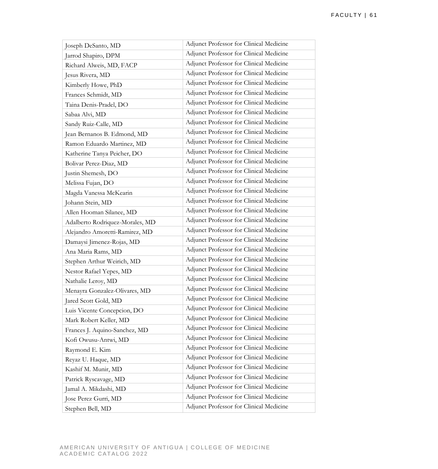| Joseph DeSanto, MD              | Adjunct Professor for Clinical Medicine |
|---------------------------------|-----------------------------------------|
| Jarrod Shapiro, DPM             | Adjunct Professor for Clinical Medicine |
| Richard Alweis, MD, FACP        | Adjunct Professor for Clinical Medicine |
| Jesus Rivera, MD                | Adjunct Professor for Clinical Medicine |
| Kimberly Howe, PhD              | Adjunct Professor for Clinical Medicine |
| Frances Schmidt, MD             | Adjunct Professor for Clinical Medicine |
| Taina Denis-Pradel, DO          | Adjunct Professor for Clinical Medicine |
| Sabaa Alvi, MD                  | Adjunct Professor for Clinical Medicine |
| Sandy Ruiz-Calle, MD            | Adjunct Professor for Clinical Medicine |
| Jean Bernanos B. Edmond, MD     | Adjunct Professor for Clinical Medicine |
| Ramon Eduardo Martinez, MD      | Adjunct Professor for Clinical Medicine |
| Katherine Tanya Peicher, DO     | Adjunct Professor for Clinical Medicine |
| Bolivar Perez-Diaz, MD          | Adjunct Professor for Clinical Medicine |
| Justin Shemesh, DO              | Adjunct Professor for Clinical Medicine |
| Melissa Fujan, DO               | Adjunct Professor for Clinical Medicine |
| Magda Vanessa McKearin          | Adjunct Professor for Clinical Medicine |
| Johann Stein, MD                | Adjunct Professor for Clinical Medicine |
| Allen Hooman Silanee, MD        | Adjunct Professor for Clinical Medicine |
| Adalberto Rodriquez-Morales, MD | Adjunct Professor for Clinical Medicine |
| Alejandro Amoretti-Ramirez, MD  | Adjunct Professor for Clinical Medicine |
| Damaysi Jimenez-Rojas, MD       | Adjunct Professor for Clinical Medicine |
| Ana Maria Rams, MD              | Adjunct Professor for Clinical Medicine |
| Stephen Arthur Weirich, MD      | Adjunct Professor for Clinical Medicine |
| Nestor Rafael Yepes, MD         | Adjunct Professor for Clinical Medicine |
| Nathalie Leroy, MD              | Adjunct Professor for Clinical Medicine |
| Menayra Gonzalez-Olivares, MD   | Adjunct Professor for Clinical Medicine |
| Jared Scott Gold, MD            | Adjunct Professor for Clinical Medicine |
| Luis Vicente Concepcion, DO     | Adjunct Professor for Clinical Medicine |
| Mark Robert Keller, MD          | Adjunct Professor for Clinical Medicine |
| Frances J. Aquino-Sanchez, MD   | Adjunct Professor for Clinical Medicine |
| Kofi Owusu-Antwi, MD            | Adjunct Professor for Clinical Medicine |
| Raymond E. Kim                  | Adjunct Professor for Clinical Medicine |
| Reyaz U. Haque, MD              | Adjunct Professor for Clinical Medicine |
| Kashif M. Munir, MD             | Adjunct Professor for Clinical Medicine |
| Patrick Ryscavage, MD           | Adjunct Professor for Clinical Medicine |
| Jamal A. Mikdashi, MD           | Adjunct Professor for Clinical Medicine |
| Jose Perez Gurri, MD            | Adjunct Professor for Clinical Medicine |
| Stephen Bell, MD                | Adjunct Professor for Clinical Medicine |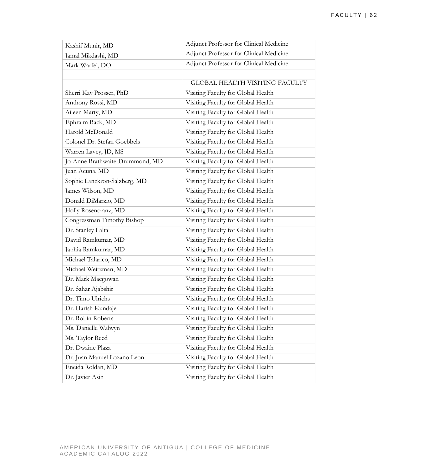| Kashif Munir, MD                | Adjunct Professor for Clinical Medicine |
|---------------------------------|-----------------------------------------|
| Jamal Mikdashi, MD              | Adjunct Professor for Clinical Medicine |
| Mark Warfel, DO                 | Adjunct Professor for Clinical Medicine |
|                                 |                                         |
|                                 | <b>GLOBAL HEALTH VISITING FACULTY</b>   |
| Sherri Kay Prosser, PhD         | Visiting Faculty for Global Health      |
| Anthony Rossi, MD               | Visiting Faculty for Global Health      |
| Aileen Marty, MD                | Visiting Faculty for Global Health      |
| Ephraim Back, MD                | Visiting Faculty for Global Health      |
| Harold McDonald                 | Visiting Faculty for Global Health      |
| Colonel Dr. Stefan Goebbels     | Visiting Faculty for Global Health      |
| Warren Lavey, JD, MS            | Visiting Faculty for Global Health      |
| Jo-Anne Brathwaite-Drummond, MD | Visiting Faculty for Global Health      |
| Juan Acuna, MD                  | Visiting Faculty for Global Health      |
| Sophie Lanzkron-Salzberg, MD    | Visiting Faculty for Global Health      |
| James Wilson, MD                | Visiting Faculty for Global Health      |
| Donald DiMarzio, MD             | Visiting Faculty for Global Health      |
| Holly Rosencranz, MD            | Visiting Faculty for Global Health      |
| Congressman Timothy Bishop      | Visiting Faculty for Global Health      |
| Dr. Stanley Lalta               | Visiting Faculty for Global Health      |
| David Ramkumar, MD              | Visiting Faculty for Global Health      |
| Japhia Ramkumar, MD             | Visiting Faculty for Global Health      |
| Michael Talarico, MD            | Visiting Faculty for Global Health      |
| Michael Weitzman, MD            | Visiting Faculty for Global Health      |
| Dr. Mark Macgowan               | Visiting Faculty for Global Health      |
| Dr. Sahar Ajabshir              | Visiting Faculty for Global Health      |
| Dr. Timo Ulrichs                | Visiting Faculty for Global Health      |
| Dr. Harish Kundaje              | Visiting Faculty for Global Health      |
| Dr. Robin Roberts               | Visiting Faculty for Global Health      |
| Ms. Danielle Walwyn             | Visiting Faculty for Global Health      |
| Ms. Taylor Reed                 | Visiting Faculty for Global Health      |
| Dr. Dwaine Plaza                | Visiting Faculty for Global Health      |
| Dr. Juan Manuel Lozano Leon     | Visiting Faculty for Global Health      |
| Eneida Roldan, MD               | Visiting Faculty for Global Health      |
| Dr. Javier Asin                 | Visiting Faculty for Global Health      |